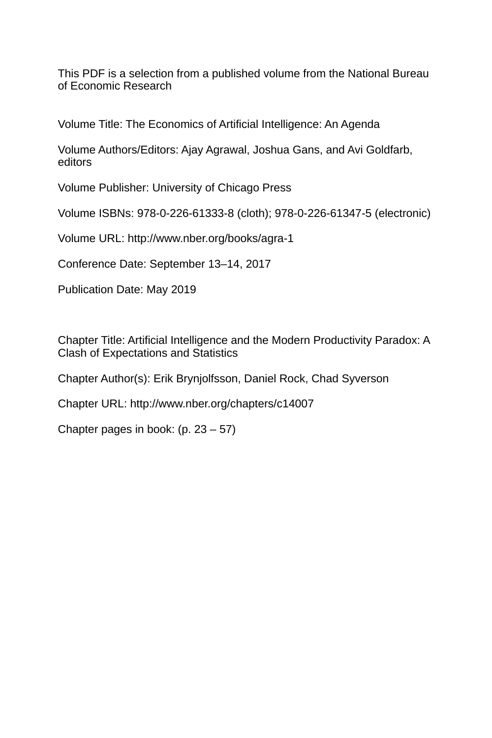This PDF is a selection from a published volume from the National Bureau of Economic Research

Volume Title: The Economics of Artificial Intelligence: An Agenda

Volume Authors/Editors: Ajay Agrawal, Joshua Gans, and Avi Goldfarb, editors

Volume Publisher: University of Chicago Press

Volume ISBNs: 978-0-226-61333-8 (cloth); 978-0-226-61347-5 (electronic)

Volume URL: http://www.nber.org/books/agra-1

Conference Date: September 13–14, 2017

Publication Date: May 2019

Chapter Title: Artificial Intelligence and the Modern Productivity Paradox: A Clash of Expectations and Statistics

Chapter Author(s): Erik Brynjolfsson, Daniel Rock, Chad Syverson

Chapter URL: http://www.nber.org/chapters/c14007

Chapter pages in book: (p. 23 – 57)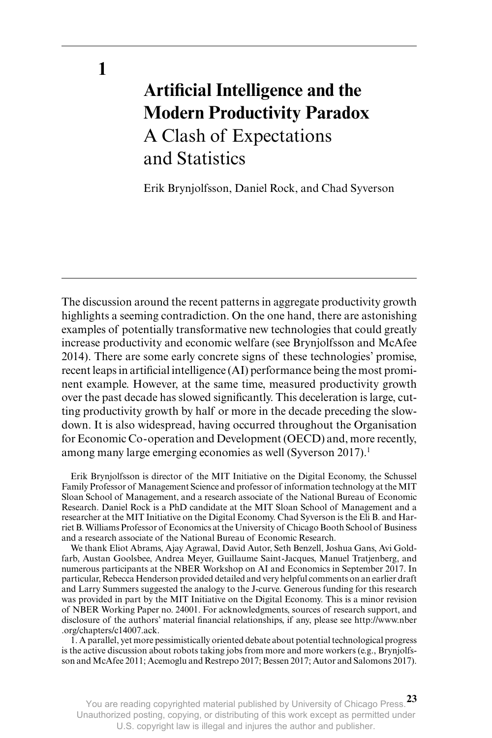**1**

# **Artificial Intelligence and the Modern Productivity Paradox** A Clash of Expectations and Statistics

Erik Brynjolfsson, Daniel Rock, and Chad Syverson

The discussion around the recent patterns in aggregate productivity growth highlights a seeming contradiction. On the one hand, there are astonishing examples of potentially transformative new technologies that could greatly increase productivity and economic welfare (see Brynjolfsson and McAfee 2014). There are some early concrete signs of these technologies' promise, recent leaps in artificial intelligence (AI) performance being the most prominent example. However, at the same time, measured productivity growth over the past decade has slowed significantly. This deceleration is large, cutting productivity growth by half or more in the decade preceding the slowdown. It is also widespread, having occurred throughout the Organisation for Economic Co- operation and Development (OECD) and, more recently, among many large emerging economies as well (Syverson 2017).<sup>1</sup>

Erik Brynjolfsson is director of the MIT Initiative on the Digital Economy, the Schussel Family Professor of Management Science and professor of information technology at the MIT Sloan School of Management, and a research associate of the National Bureau of Economic Research. Daniel Rock is a PhD candidate at the MIT Sloan School of Management and a researcher at the MIT Initiative on the Digital Economy. Chad Syverson is the Eli B. and Harriet B. Williams Professor of Economics at the University of Chicago Booth School of Business and a research associate of the National Bureau of Economic Research.

We thank Eliot Abrams, Ajay Agrawal, David Autor, Seth Benzell, Joshua Gans, Avi Goldfarb, Austan Goolsbee, Andrea Meyer, Guillaume Saint- Jacques, Manuel Tratjenberg, and numerous participants at the NBER Workshop on AI and Economics in September 2017. In particular, Rebecca Henderson provided detailed and very helpful comments on an earlier draft and Larry Summers suggested the analogy to the J-curve. Generous funding for this research was provided in part by the MIT Initiative on the Digital Economy. This is a minor revision of NBER Working Paper no. 24001. For acknowledgments, sources of research support, and disclosure of the authors' material financial relationships, if any, please see http://www.nber .org/chapters/c14007.ack.

1. A parallel, yet more pessimistically oriented debate about potential technological progress is the active discussion about robots taking jobs from more and more workers (e.g., Brynjolfsson and McAfee 2011; Acemoglu and Restrepo 2017; Bessen 2017; Autor and Salomons 2017).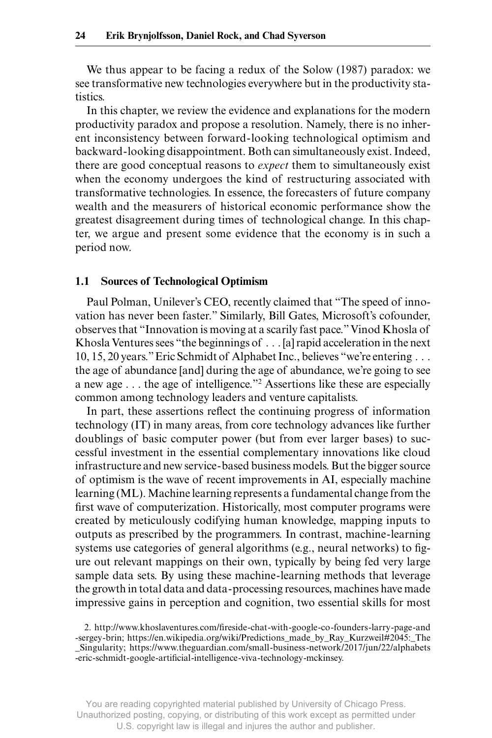We thus appear to be facing a redux of the Solow (1987) paradox: we see transformative new technologies everywhere but in the productivity statistics.

In this chapter, we review the evidence and explanations for the modern productivity paradox and propose a resolution. Namely, there is no inherent inconsistency between forward- looking technological optimism and backward- looking disappointment. Both can simultaneously exist. Indeed, there are good conceptual reasons to *expect* them to simultaneously exist when the economy undergoes the kind of restructuring associated with transformative technologies. In essence, the forecasters of future company wealth and the measurers of historical economic performance show the greatest disagreement during times of technological change. In this chapter, we argue and present some evidence that the economy is in such a period now.

## **1.1 Sources of Technological Optimism**

Paul Polman, Unilever's CEO, recently claimed that "The speed of innovation has never been faster." Similarly, Bill Gates, Microsoft's cofounder, observes that "Innovation is moving at a scarily fast pace." Vinod Khosla of Khosla Ventures sees "the beginnings of . . . [a] rapid acceleration in the next 10, 15, 20 years." Eric Schmidt of Alphabet Inc., believes "we're entering . . . the age of abundance [and] during the age of abundance, we're going to see a new age . . . the age of intelligence."<sup>2</sup> Assertions like these are especially common among technology leaders and venture capitalists.

In part, these assertions reflect the continuing progress of information technology (IT) in many areas, from core technology advances like further doublings of basic computer power (but from ever larger bases) to successful investment in the essential complementary innovations like cloud infrastructure and new service- based business models. But the bigger source of optimism is the wave of recent improvements in AI, especially machine learning (ML). Machine learning represents a fundamental change from the first wave of computerization. Historically, most computer programs were created by meticulously codifying human knowledge, mapping inputs to outputs as prescribed by the programmers. In contrast, machine- learning systems use categories of general algorithms (e.g., neural networks) to figure out relevant mappings on their own, typically by being fed very large sample data sets. By using these machine- learning methods that leverage the growth in total data and data- processing resources, machines have made impressive gains in perception and cognition, two essential skills for most

2. http://www.khoslaventures.com/fireside-chat-with-google-co-founders-larry-page-and -sergey-brin; https://en.wikipedia.org/wiki/Predictions\_made\_by\_Ray\_Kurzweil#2045:\_The \_Singularity; https:// www .theguardian .com / small - business - network / 2017 / jun / 22 / alphabets -eric-schmidt-google-artificial-intelligence-viva-technology-mckinsey.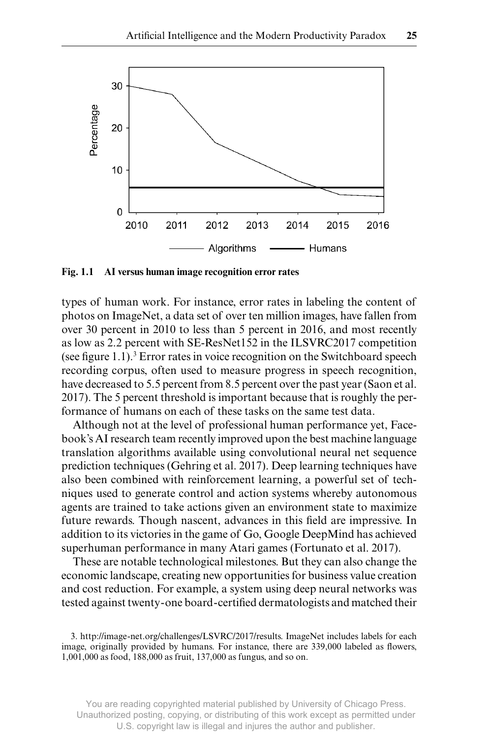

**Fig. 1.1 AI versus human image recognition error rates**

types of human work. For instance, error rates in labeling the content of photos on ImageNet, a data set of over ten million images, have fallen from over 30 percent in 2010 to less than 5 percent in 2016, and most recently as low as 2.2 percent with SE- ResNet152 in the ILSVRC2017 competition  $($ see figure 1.1).<sup>3</sup> Error rates in voice recognition on the Switchboard speech recording corpus, often used to measure progress in speech recognition, have decreased to 5.5 percent from 8.5 percent over the past year (Saon et al. 2017). The 5 percent threshold is important because that is roughly the performance of humans on each of these tasks on the same test data.

Although not at the level of professional human performance yet, Facebook's AI research team recently improved upon the best machine language translation algorithms available using convolutional neural net sequence prediction techniques (Gehring et al. 2017). Deep learning techniques have also been combined with reinforcement learning, a powerful set of techniques used to generate control and action systems whereby autonomous agents are trained to take actions given an environment state to maximize future rewards. Though nascent, advances in this field are impressive. In addition to its victories in the game of Go, Google DeepMind has achieved superhuman performance in many Atari games (Fortunato et al. 2017).

These are notable technological milestones. But they can also change the economic landscape, creating new opportunities for business value creation and cost reduction. For example, a system using deep neural networks was tested against twenty-one board-certified dermatologists and matched their

<sup>3.</sup> http://image-net.org/challenges/LSVRC/2017/results. ImageNet includes labels for each image, originally provided by humans. For instance, there are 339,000 labeled as flowers, 1,001,000 as food, 188,000 as fruit, 137,000 as fungus, and so on.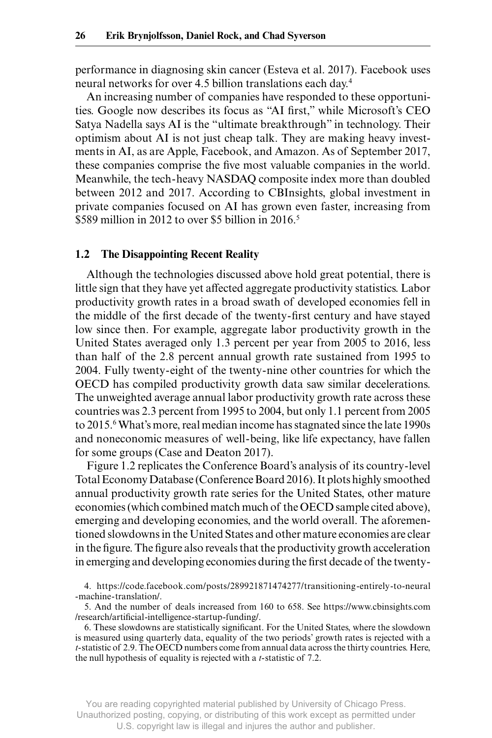performance in diagnosing skin cancer (Esteva et al. 2017). Facebook uses neural networks for over 4.5 billion translations each day.<sup>4</sup>

 An increasing number of companies have responded to these opportunities. Google now describes its focus as "AI first," while Microsoft's CEO Satya Nadella says AI is the "ultimate breakthrough" in technology. Their optimism about AI is not just cheap talk. They are making heavy investments in AI, as are Apple, Facebook, and Amazon. As of September 2017, these companies comprise the five most valuable companies in the world. Meanwhile, the tech- heavy NASDAQ composite index more than doubled between 2012 and 2017. According to CBInsights, global investment in private companies focused on AI has grown even faster, increasing from \$589 million in 2012 to over \$5 billion in 2016.<sup>5</sup>

#### **1.2 The Disappointing Recent Reality**

Although the technologies discussed above hold great potential, there is little sign that they have yet affected aggregate productivity statistics. Labor productivity growth rates in a broad swath of developed economies fell in the middle of the first decade of the twenty-first century and have stayed low since then. For example, aggregate labor productivity growth in the United States averaged only 1.3 percent per year from 2005 to 2016, less than half of the 2.8 percent annual growth rate sustained from 1995 to 2004. Fully twenty- eight of the twenty- nine other countries for which the OECD has compiled productivity growth data saw similar decelerations. The unweighted average annual labor productivity growth rate across these countries was 2.3 percent from 1995 to 2004, but only 1.1 percent from 2005 to 2015.<sup>6</sup> What's more, real median income has stagnated since the late 1990s and noneconomic measures of well- being, like life expectancy, have fallen for some groups (Case and Deaton 2017).

Figure 1.2 replicates the Conference Board's analysis of its country- level Total Economy Database (Conference Board 2016). It plots highly smoothed annual productivity growth rate series for the United States, other mature economies (which combined match much of the OECD sample cited above), emerging and developing economies, and the world overall. The aforementioned slowdowns in the United States and other mature economies are clear in the figure. The figure also reveals that the productivity growth acceleration in emerging and developing economies during the first decade of the twenty-

4. https:// code .facebook .com / posts / 289921871474277 / transitioning - entirely - to-neural -machine-translation/.

5. And the number of deals increased from 160 to 658. See https:// www .cbinsights .com /research/artificial-intelligence-startup-funding/.

6. These slowdowns are statistically significant. For the United States, where the slowdown is measured using quarterly data, equality of the two periods' growth rates is rejected with a *t*- statistic of 2.9. The OECD numbers come from annual data across the thirty countries. Here, the null hypothesis of equality is rejected with a *t*- statistic of 7.2.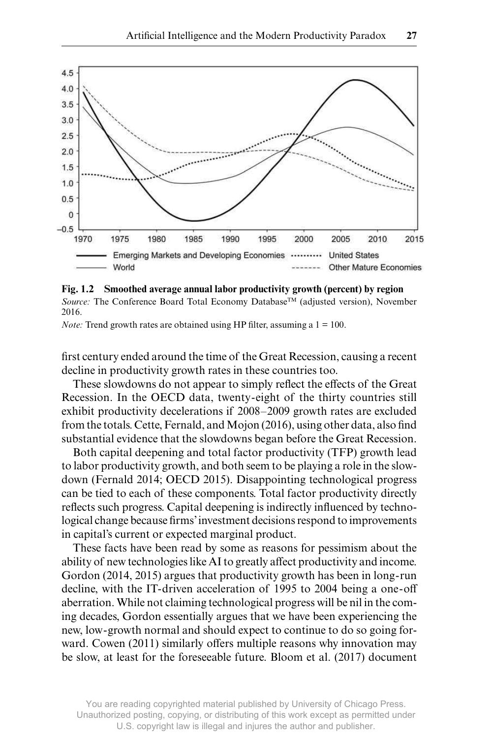

**Fig. 1.2 Smoothed average annual labor productivity growth (percent) by region** *Source:* The Conference Board Total Economy Database™ (adjusted version), November 2016.

*Note:* Trend growth rates are obtained using HP filter, assuming a  $1 = 100$ .

first century ended around the time of the Great Recession, causing a recent decline in productivity growth rates in these countries too.

These slowdowns do not appear to simply reflect the effects of the Great Recession. In the OECD data, twenty- eight of the thirty countries still exhibit productivity decelerations if 2008–2009 growth rates are excluded from the totals. Cette, Fernald, and Mojon (2016), using other data, also find substantial evidence that the slowdowns began before the Great Recession.

 Both capital deepening and total factor productivity (TFP) growth lead to labor productivity growth, and both seem to be playing a role in the slowdown (Fernald 2014; OECD 2015). Disappointing technological progress can be tied to each of these components. Total factor productivity directly reflects such progress. Capital deepening is indirectly influenced by technological change because firms' investment decisions respond to improvements in capital's current or expected marginal product.

These facts have been read by some as reasons for pessimism about the ability of new technologies like AI to greatly affect productivity and income. Gordon (2014, 2015) argues that productivity growth has been in long-run decline, with the IT-driven acceleration of 1995 to 2004 being a one-off aberration. While not claiming technological progress will be nil in the coming decades, Gordon essentially argues that we have been experiencing the new, low- growth normal and should expect to continue to do so going forward. Cowen  $(2011)$  similarly offers multiple reasons why innovation may be slow, at least for the foreseeable future. Bloom et al. (2017) document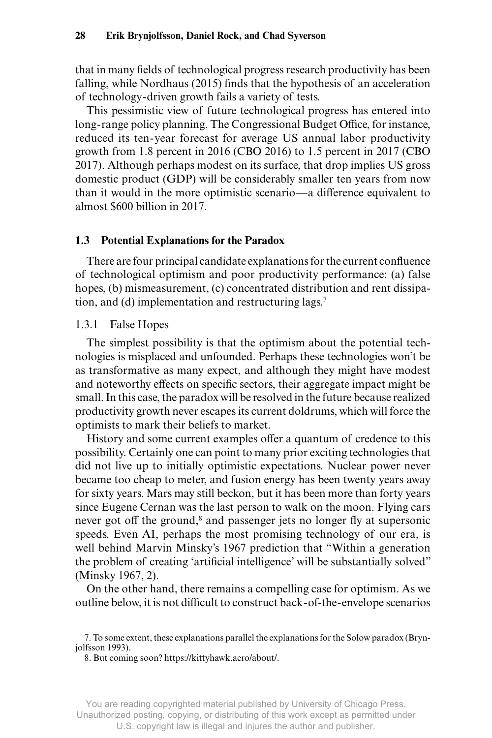that in many fields of technological progress research productivity has been falling, while Nordhaus (2015) finds that the hypothesis of an acceleration of technology- driven growth fails a variety of tests.

This pessimistic view of future technological progress has entered into long-range policy planning. The Congressional Budget Office, for instance, reduced its ten- year forecast for average US annual labor productivity growth from 1.8 percent in 2016 (CBO 2016) to 1.5 percent in 2017 (CBO 2017). Although perhaps modest on its surface, that drop implies US gross domestic product (GDP) will be considerably smaller ten years from now than it would in the more optimistic scenario—a difference equivalent to almost \$600 billion in 2017.

#### **1.3 Potential Explanations for the Paradox**

There are four principal candidate explanations for the current confluence of technological optimism and poor productivity performance: (a) false hopes, (b) mismeasurement, (c) concentrated distribution and rent dissipation, and (d) implementation and restructuring lags.<sup>7</sup>

## 1.3.1 False Hopes

The simplest possibility is that the optimism about the potential technologies is misplaced and unfounded. Perhaps these technologies won't be as transformative as many expect, and although they might have modest and noteworthy effects on specific sectors, their aggregate impact might be small. In this case, the paradox will be resolved in the future because realized productivity growth never escapes its current doldrums, which will force the optimists to mark their beliefs to market.

History and some current examples offer a quantum of credence to this possibility. Certainly one can point to many prior exciting technologies that did not live up to initially optimistic expectations. Nuclear power never became too cheap to meter, and fusion energy has been twenty years away for sixty years. Mars may still beckon, but it has been more than forty years since Eugene Cernan was the last person to walk on the moon. Flying cars never got off the ground,<sup>8</sup> and passenger jets no longer fly at supersonic speeds. Even AI, perhaps the most promising technology of our era, is well behind Marvin Minsky's 1967 prediction that "Within a generation the problem of creating 'artificial intelligence' will be substantially solved" (Minsky 1967, 2).

On the other hand, there remains a compelling case for optimism. As we outline below, it is not difficult to construct back-of-the-envelope scenarios

8. But coming soon? https://kittyhawk.aero/about/.

<sup>7.</sup> To some extent, these explanations parallel the explanations for the Solow paradox (Brynjolfsson 1993).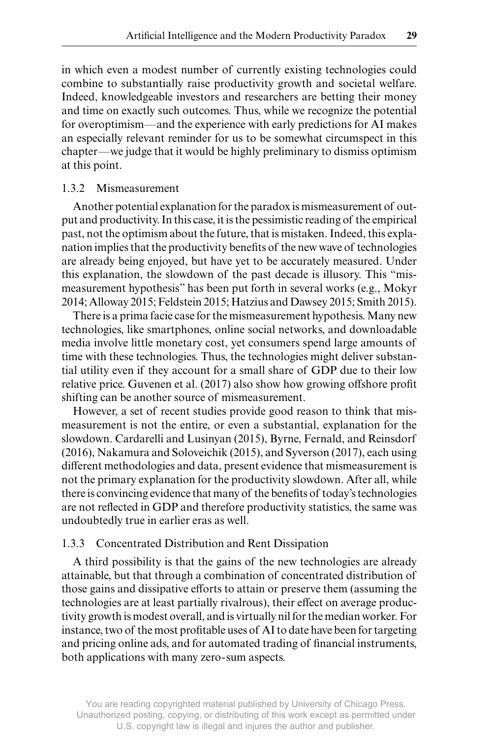in which even a modest number of currently existing technologies could combine to substantially raise productivity growth and societal welfare. Indeed, knowledgeable investors and researchers are betting their money and time on exactly such outcomes. Thus, while we recognize the potential for overoptimism—and the experience with early predictions for AI makes an especially relevant reminder for us to be somewhat circumspect in this chapter—we judge that it would be highly preliminary to dismiss optimism at this point.

#### 1.3.2 Mismeasurement

Another potential explanation for the paradox is mismeasurement of output and productivity. In this case, it is the pessimistic reading of the empirical past, not the optimism about the future, that is mistaken. Indeed, this explanation implies that the productivity benefits of the new wave of technologies are already being enjoyed, but have yet to be accurately measured. Under this explanation, the slowdown of the past decade is illusory. This "mismeasurement hypothesis" has been put forth in several works (e.g., Mokyr 2014; Alloway 2015; Feldstein 2015; Hatzius and Dawsey 2015; Smith 2015).

There is a prima facie case for the mismeasurement hypothesis. Many new technologies, like smartphones, online social networks, and downloadable media involve little monetary cost, yet consumers spend large amounts of time with these technologies. Thus, the technologies might deliver substantial utility even if they account for a small share of GDP due to their low relative price. Guvenen et al. (2017) also show how growing offshore profit shifting can be another source of mismeasurement.

However, a set of recent studies provide good reason to think that mismeasurement is not the entire, or even a substantial, explanation for the slowdown. Cardarelli and Lusinyan (2015), Byrne, Fernald, and Reinsdorf (2016), Nakamura and Soloveichik (2015), and Syverson (2017), each using different methodologies and data, present evidence that mismeasurement is not the primary explanation for the productivity slowdown. After all, while there is convincing evidence that many of the benefits of today's technologies are not reflected in GDP and therefore productivity statistics, the same was undoubtedly true in earlier eras as well.

## 1.3.3 Concentrated Distribution and Rent Dissipation

A third possibility is that the gains of the new technologies are already attainable, but that through a combination of concentrated distribution of those gains and dissipative efforts to attain or preserve them (assuming the technologies are at least partially rivalrous), their effect on average productivity growth is modest overall, and is virtually nil for the median worker. For instance, two of the most profitable uses of AI to date have been for targeting and pricing online ads, and for automated trading of financial instruments, both applications with many zero- sum aspects.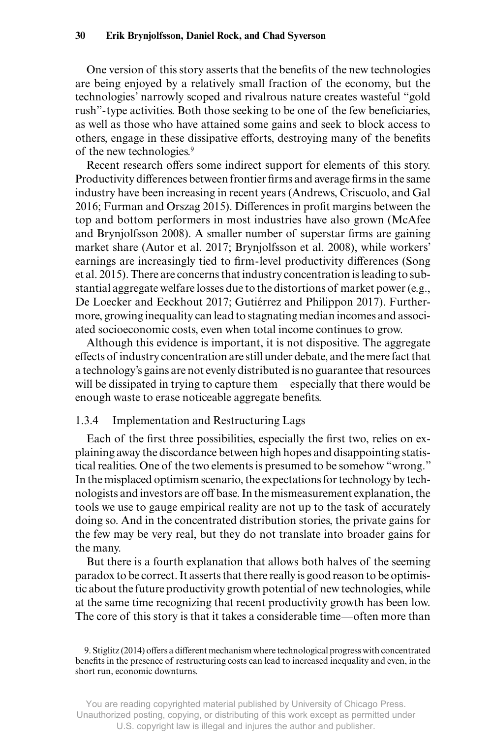One version of this story asserts that the benefits of the new technologies are being enjoyed by a relatively small fraction of the economy, but the technologies' narrowly scoped and rivalrous nature creates wasteful "gold rush"-type activities. Both those seeking to be one of the few beneficiaries, as well as those who have attained some gains and seek to block access to others, engage in these dissipative efforts, destroying many of the benefits of the new technologies.<sup>9</sup>

Recent research offers some indirect support for elements of this story. Productivity differences between frontier firms and average firms in the same industry have been increasing in recent years (Andrews, Criscuolo, and Gal 2016; Furman and Orszag 2015). Differences in profit margins between the top and bottom performers in most industries have also grown (McAfee and Brynjolfsson 2008). A smaller number of superstar firms are gaining market share (Autor et al. 2017; Brynjolfsson et al. 2008), while workers' earnings are increasingly tied to firm-level productivity differences (Song et al. 2015). There are concerns that industry concentration is leading to substantial aggregate welfare losses due to the distortions of market power (e.g., De Loecker and Eeckhout 2017; Gutiérrez and Philippon 2017). Furthermore, growing inequality can lead to stagnating median incomes and associated socioeconomic costs, even when total income continues to grow.

Although this evidence is important, it is not dispositive. The aggregate effects of industry concentration are still under debate, and the mere fact that a technology's gains are not evenly distributed is no guarantee that resources will be dissipated in trying to capture them—especially that there would be enough waste to erase noticeable aggregate benefits.

# 1.3.4 Implementation and Restructuring Lags

Each of the first three possibilities, especially the first two, relies on explaining away the discordance between high hopes and disappointing statistical realities. One of the two elements is presumed to be somehow "wrong." In the misplaced optimism scenario, the expectations for technology by technologists and investors are off base. In the mismeasurement explanation, the tools we use to gauge empirical reality are not up to the task of accurately doing so. And in the concentrated distribution stories, the private gains for the few may be very real, but they do not translate into broader gains for the many.

But there is a fourth explanation that allows both halves of the seeming paradox to be correct. It asserts that there really is good reason to be optimistic about the future productivity growth potential of new technologies, while at the same time recognizing that recent productivity growth has been low. The core of this story is that it takes a considerable time—often more than

<sup>9.</sup> Stiglitz (2014) offers a different mechanism where technological progress with concentrated benefits in the presence of restructuring costs can lead to increased inequality and even, in the short run, economic downturns.

You are reading copyrighted material published by University of Chicago Press. Unauthorized posting, copying, or distributing of this work except as permitted under U.S. copyright law is illegal and injures the author and publisher.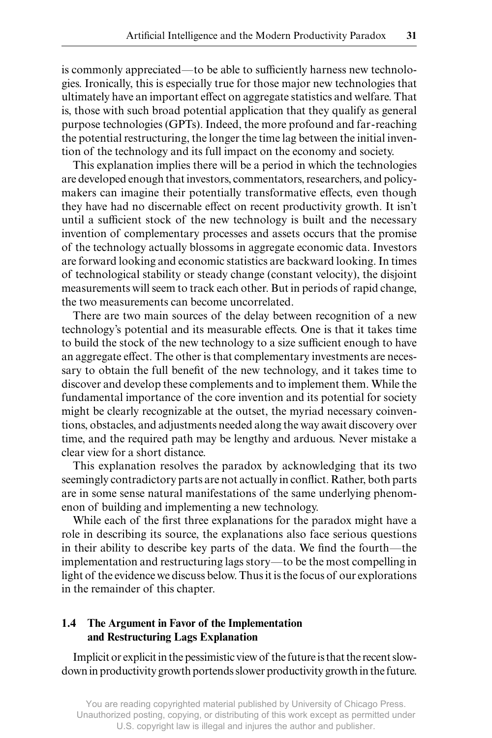is commonly appreciated—to be able to sufficiently harness new technologies. Ironically, this is especially true for those major new technologies that ultimately have an important effect on aggregate statistics and welfare. That is, those with such broad potential application that they qualify as general purpose technologies (GPTs). Indeed, the more profound and far- reaching the potential restructuring, the longer the time lag between the initial invention of the technology and its full impact on the economy and society.

This explanation implies there will be a period in which the technologies are developed enough that investors, commentators, researchers, and policymakers can imagine their potentially transformative effects, even though they have had no discernable effect on recent productivity growth. It isn't until a sufficient stock of the new technology is built and the necessary invention of complementary processes and assets occurs that the promise of the technology actually blossoms in aggregate economic data. Investors are forward looking and economic statistics are backward looking. In times of technological stability or steady change (constant velocity), the disjoint measurements will seem to track each other. But in periods of rapid change, the two measurements can become uncorrelated.

There are two main sources of the delay between recognition of a new technology's potential and its measurable effects. One is that it takes time to build the stock of the new technology to a size sufficient enough to have an aggregate effect. The other is that complementary investments are necessary to obtain the full benefit of the new technology, and it takes time to discover and develop these complements and to implement them. While the fundamental importance of the core invention and its potential for society might be clearly recognizable at the outset, the myriad necessary coinventions, obstacles, and adjustments needed along the way await discovery over time, and the required path may be lengthy and arduous. Never mistake a clear view for a short distance.

This explanation resolves the paradox by acknowledging that its two seemingly contradictory parts are not actually in conflict. Rather, both parts are in some sense natural manifestations of the same underlying phenomenon of building and implementing a new technology.

While each of the first three explanations for the paradox might have a role in describing its source, the explanations also face serious questions in their ability to describe key parts of the data. We find the fourth—the implementation and restructuring lags story—to be the most compelling in light of the evidence we discuss below. Thus it is the focus of our explorations in the remainder of this chapter.

# **1.4 The Argument in Favor of the Implementation and Restructuring Lags Explanation**

Implicit or explicit in the pessimistic view of the future is that the recent slowdown in productivity growth portends slower productivity growth in the future.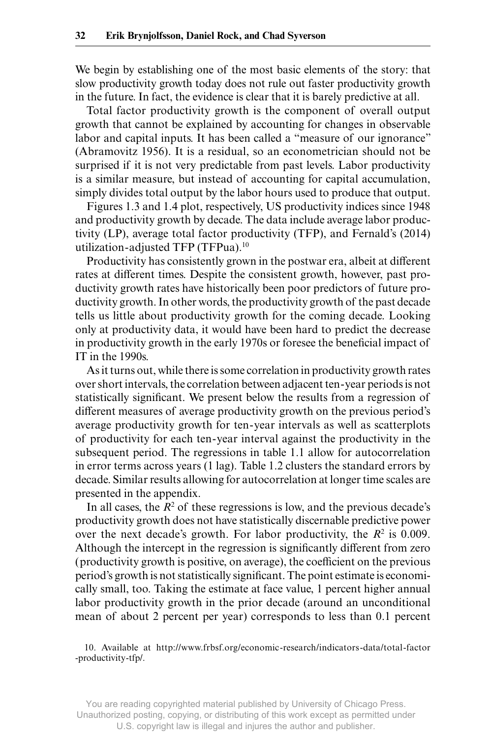We begin by establishing one of the most basic elements of the story: that slow productivity growth today does not rule out faster productivity growth in the future. In fact, the evidence is clear that it is barely predictive at all.

Total factor productivity growth is the component of overall output growth that cannot be explained by accounting for changes in observable labor and capital inputs. It has been called a "measure of our ignorance" (Abramovitz 1956). It is a residual, so an econometrician should not be surprised if it is not very predictable from past levels. Labor productivity is a similar measure, but instead of accounting for capital accumulation, simply divides total output by the labor hours used to produce that output.

Figures 1.3 and 1.4 plot, respectively, US productivity indices since 1948 and productivity growth by decade. The data include average labor productivity (LP), average total factor productivity (TFP), and Fernald's (2014) utilization-adjusted TFP (TFPua).<sup>10</sup>

Productivity has consistently grown in the postwar era, albeit at different rates at different times. Despite the consistent growth, however, past productivity growth rates have historically been poor predictors of future productivity growth. In other words, the productivity growth of the past decade tells us little about productivity growth for the coming decade. Looking only at productivity data, it would have been hard to predict the decrease in productivity growth in the early 1970s or foresee the beneficial impact of IT in the 1990s.

As it turns out, while there is some correlation in productivity growth rates over short intervals, the correlation between adjacent ten- year periods is not statistically significant. We present below the results from a regression of different measures of average productivity growth on the previous period's average productivity growth for ten- year intervals as well as scatterplots of productivity for each ten- year interval against the productivity in the subsequent period. The regressions in table 1.1 allow for autocorrelation in error terms across years (1 lag). Table 1.2 clusters the standard errors by decade. Similar results allowing for autocorrelation at longer time scales are presented in the appendix.

In all cases, the  $R<sup>2</sup>$  of these regressions is low, and the previous decade's productivity growth does not have statistically discernable predictive power over the next decade's growth. For labor productivity, the  $R^2$  is 0.009. Although the intercept in the regression is significantly different from zero (productivity growth is positive, on average), the coefficient on the previous period's growth is not statistically significant. The point estimate is economically small, too. Taking the estimate at face value, 1 percent higher annual labor productivity growth in the prior decade (around an unconditional mean of about 2 percent per year) corresponds to less than 0.1 percent

10. Available at http:// www .frbsf .org / economic - research / indicators - data / total - factor -productivity-tfp/.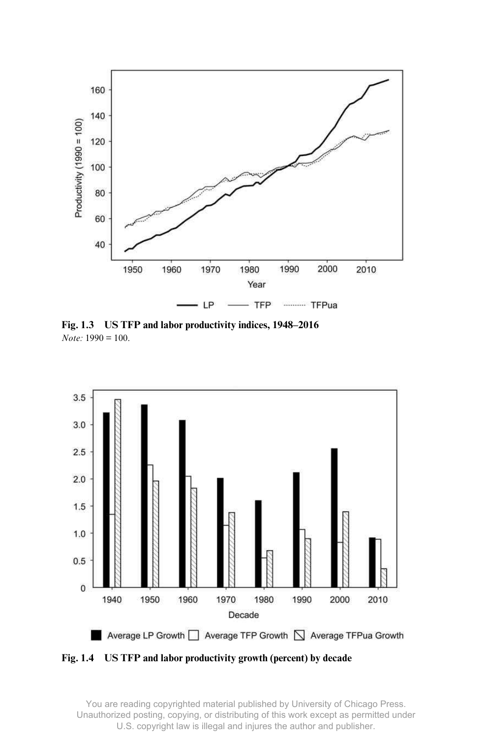

**Fig. 1.3 US TFP and labor productivity indices, 1948– 2016** *Note:* 1990 = 100.



**Fig. 1.4 US TFP and labor productivity growth (percent) by decade**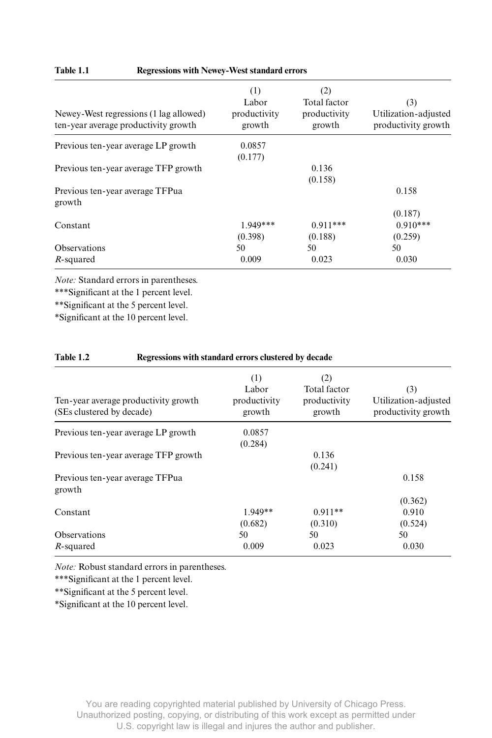| (1)<br>Labor<br>productivity<br>growth | (2)<br>Total factor<br>productivity<br>growth | (3)<br>Utilization-adjusted<br>productivity growth |
|----------------------------------------|-----------------------------------------------|----------------------------------------------------|
| 0.0857                                 |                                               |                                                    |
|                                        | 0.136<br>(0.158)                              |                                                    |
|                                        |                                               | 0.158                                              |
| $1.949***$<br>(0.398)                  | $0.911***$<br>(0.188)                         | (0.187)<br>$0.910***$<br>(0.259)                   |
| 50                                     | 50                                            | 50<br>0.030                                        |
|                                        | (0.177)<br>0.009                              | 0.023                                              |

*Note:* Standard errors in parentheses.

\*\*\*Significant at the 1 percent level.

\*\*Significant at the 5 percent level.

\*Significant at the 10 percent level.

## **Table 1.2 Regressions with standard errors clustered by decade**

**Table 1.1 Regressions with Newey- West standard errors**

| Ten-year average productivity growth<br>(SEs clustered by decade) | (1)<br>Labor<br>productivity<br>growth | (2)<br>Total factor<br>productivity<br>growth | (3)<br>Utilization-adjusted<br>productivity growth |
|-------------------------------------------------------------------|----------------------------------------|-----------------------------------------------|----------------------------------------------------|
| Previous ten-year average LP growth                               | 0.0857                                 |                                               |                                                    |
|                                                                   | (0.284)                                |                                               |                                                    |
| Previous ten-year average TFP growth                              |                                        | 0.136                                         |                                                    |
|                                                                   |                                        | (0.241)                                       |                                                    |
| Previous ten-year average TFPua<br>growth                         |                                        |                                               | 0.158                                              |
|                                                                   |                                        |                                               | (0.362)                                            |
| Constant                                                          | $1.949**$                              | $0.911**$                                     | 0.910                                              |
|                                                                   | (0.682)                                | (0.310)                                       | (0.524)                                            |
| <b>Observations</b>                                               | 50                                     | 50                                            | 50                                                 |
| R-squared                                                         | 0.009                                  | 0.023                                         | 0.030                                              |

*Note:* Robust standard errors in parentheses.

\*\*\*Significant at the 1 percent level.

\*\*Significant at the 5 percent level.

\*Significant at the 10 percent level.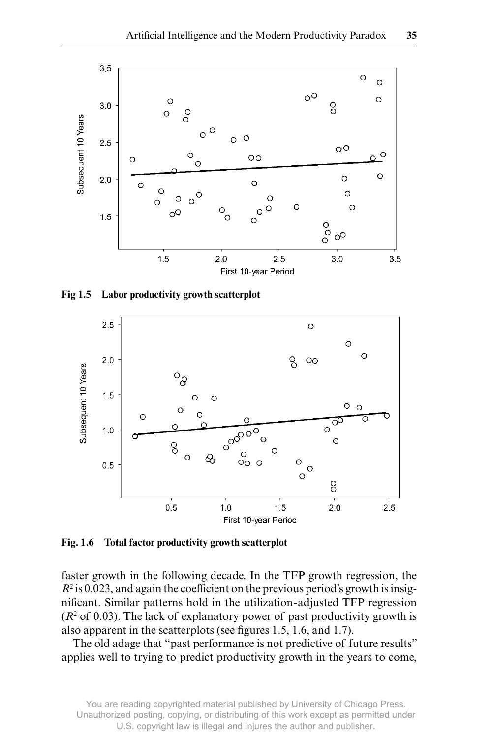

**Fig 1.5 Labor productivity growth scatterplot**



**Fig. 1.6 Total factor productivity growth scatterplot**

faster growth in the following decade. In the TFP growth regression, the  $R<sup>2</sup>$  is 0.023, and again the coefficient on the previous period's growth is insignificant. Similar patterns hold in the utilization-adjusted TFP regression  $(R<sup>2</sup>$  of 0.03). The lack of explanatory power of past productivity growth is also apparent in the scatterplots (see figures 1.5, 1.6, and 1.7).

 The old adage that "past performance is not predictive of future results" applies well to trying to predict productivity growth in the years to come,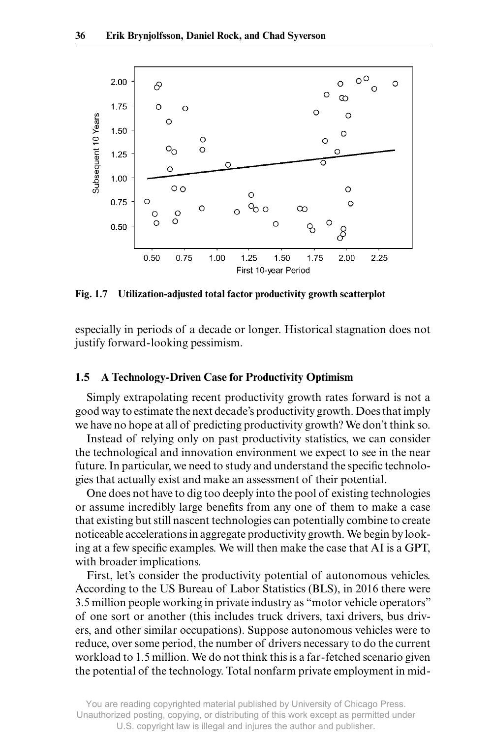

Fig. 1.7 Utilization-adjusted total factor productivity growth scatterplot

especially in periods of a decade or longer. Historical stagnation does not justify forward- looking pessimism.

#### **1.5 A Technology- Driven Case for Productivity Optimism**

Simply extrapolating recent productivity growth rates forward is not a good way to estimate the next decade's productivity growth. Does that imply we have no hope at all of predicting productivity growth? We don't think so.

Instead of relying only on past productivity statistics, we can consider the technological and innovation environment we expect to see in the near future. In particular, we need to study and understand the specific technologies that actually exist and make an assessment of their potential.

One does not have to dig too deeply into the pool of existing technologies or assume incredibly large benefits from any one of them to make a case that existing but still nascent technologies can potentially combine to create noticeable accelerations in aggregate productivity growth. We begin by looking at a few specific examples. We will then make the case that AI is a GPT, with broader implications.

First, let's consider the productivity potential of autonomous vehicles. According to the US Bureau of Labor Statistics (BLS), in 2016 there were 3.5 million people working in private industry as "motor vehicle operators" of one sort or another (this includes truck drivers, taxi drivers, bus drivers, and other similar occupations). Suppose autonomous vehicles were to reduce, over some period, the number of drivers necessary to do the current workload to 1.5 million. We do not think this is a far- fetched scenario given the potential of the technology. Total nonfarm private employment in mid-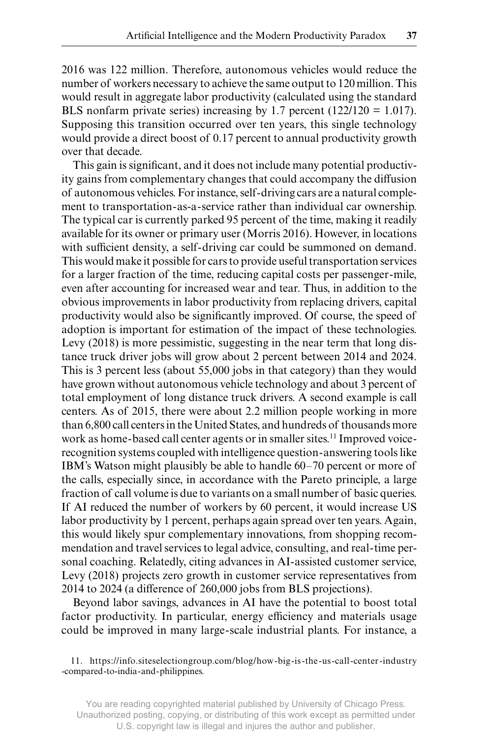2016 was 122 million. Therefore, autonomous vehicles would reduce the number of workers necessary to achieve the same output to 120 million. This would result in aggregate labor productivity (calculated using the standard BLS nonfarm private series) increasing by 1.7 percent (122/120 = 1.017). Supposing this transition occurred over ten years, this single technology would provide a direct boost of 0.17 percent to annual productivity growth over that decade.

This gain is significant, and it does not include many potential productivity gains from complementary changes that could accompany the diffusion of autonomous vehicles. For instance, self- driving cars are a natural complement to transportation-as-a-service rather than individual car ownership. The typical car is currently parked 95 percent of the time, making it readily available for its owner or primary user (Morris 2016). However, in locations with sufficient density, a self-driving car could be summoned on demand. This would make it possible for cars to provide useful transportation services for a larger fraction of the time, reducing capital costs per passenger- mile, even after accounting for increased wear and tear. Thus, in addition to the obvious improvements in labor productivity from replacing drivers, capital productivity would also be significantly improved. Of course, the speed of adoption is important for estimation of the impact of these technologies. Levy (2018) is more pessimistic, suggesting in the near term that long distance truck driver jobs will grow about 2 percent between 2014 and 2024. This is 3 percent less (about 55,000 jobs in that category) than they would have grown without autonomous vehicle technology and about 3 percent of total employment of long distance truck drivers. A second example is call centers. As of 2015, there were about 2.2 million people working in more than 6,800 call centers in the United States, and hundreds of thousands more work as home-based call center agents or in smaller sites.<sup>11</sup> Improved voicerecognition systems coupled with intelligence question- answering tools like IBM's Watson might plausibly be able to handle 60– 70 percent or more of the calls, especially since, in accordance with the Pareto principle, a large fraction of call volume is due to variants on a small number of basic queries. If AI reduced the number of workers by 60 percent, it would increase US labor productivity by 1 percent, perhaps again spread over ten years. Again, this would likely spur complementary innovations, from shopping recommendation and travel services to legal advice, consulting, and real- time personal coaching. Relatedly, citing advances in AI-assisted customer service, Levy (2018) projects zero growth in customer service representatives from 2014 to 2024 (a difference of 260,000 jobs from BLS projections).

Beyond labor savings, advances in AI have the potential to boost total factor productivity. In particular, energy efficiency and materials usage could be improved in many large- scale industrial plants. For instance, a

11. https://info.siteselectiongroup.com/blog/how-big-is-the-us-call-center-industry -compared - to-india- and - philippines.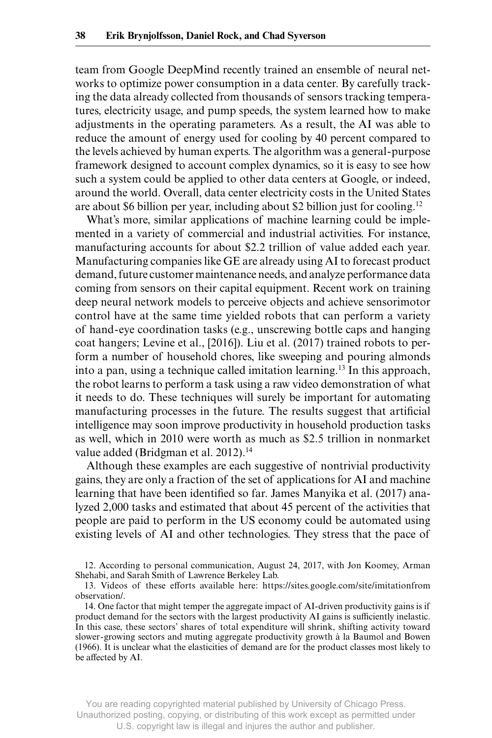team from Google DeepMind recently trained an ensemble of neural networks to optimize power consumption in a data center. By carefully tracking the data already collected from thousands of sensors tracking temperatures, electricity usage, and pump speeds, the system learned how to make adjustments in the operating parameters. As a result, the AI was able to reduce the amount of energy used for cooling by 40 percent compared to the levels achieved by human experts. The algorithm was a general- purpose framework designed to account complex dynamics, so it is easy to see how such a system could be applied to other data centers at Google, or indeed, around the world. Overall, data center electricity costs in the United States are about \$6 billion per year, including about \$2 billion just for cooling.<sup>12</sup>

What's more, similar applications of machine learning could be implemented in a variety of commercial and industrial activities. For instance, manufacturing accounts for about \$2.2 trillion of value added each year. Manufacturing companies like GE are already using AI to forecast product demand, future customer maintenance needs, and analyze performance data coming from sensors on their capital equipment. Recent work on training deep neural network models to perceive objects and achieve sensorimotor control have at the same time yielded robots that can perform a variety of hand- eye coordination tasks (e.g., unscrewing bottle caps and hanging coat hangers; Levine et al., [2016]). Liu et al. (2017) trained robots to perform a number of household chores, like sweeping and pouring almonds into a pan, using a technique called imitation learning.<sup>13</sup> In this approach, the robot learns to perform a task using a raw video demonstration of what it needs to do. These techniques will surely be important for automating manufacturing processes in the future. The results suggest that artificial intelligence may soon improve productivity in household production tasks as well, which in 2010 were worth as much as \$2.5 trillion in nonmarket value added (Bridgman et al. 2012).<sup>14</sup>

Although these examples are each suggestive of nontrivial productivity gains, they are only a fraction of the set of applications for AI and machine learning that have been identified so far. James Manyika et al. (2017) analyzed 2,000 tasks and estimated that about 45 percent of the activities that people are paid to perform in the US economy could be automated using existing levels of AI and other technologies. They stress that the pace of

12. According to personal communication, August 24, 2017, with Jon Koomey, Arman Shehabi, and Sarah Smith of Lawrence Berkeley Lab.

14. One factor that might temper the aggregate impact of AI- driven productivity gains is if product demand for the sectors with the largest productivity AI gains is sufficiently inelastic. In this case, these sectors' shares of total expenditure will shrink, shifting activity toward slower- growing sectors and muting aggregate productivity growth à la Baumol and Bowen (1966). It is unclear what the elasticities of demand are for the product classes most likely to be affected by AI.

<sup>13.</sup> Videos of these efforts available here: https://sites.google.com/site/imitationfrom observation/.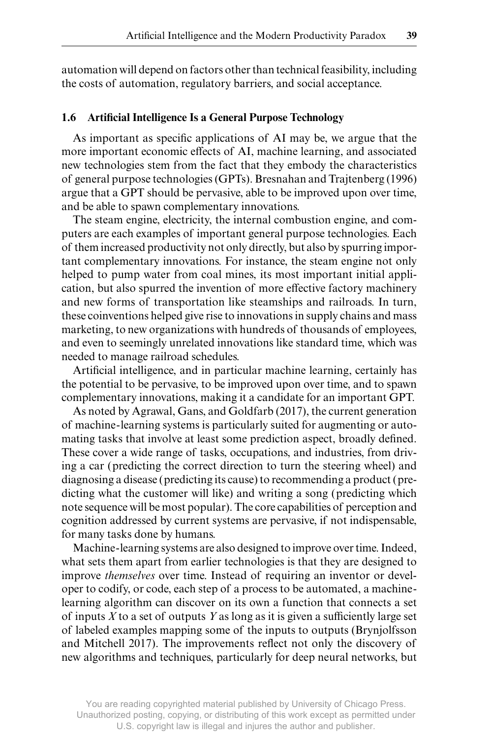automation will depend on factors other than technical feasibility, including the costs of automation, regulatory barriers, and social acceptance.

#### **1.6 Artificial Intelligence Is a General Purpose Technology**

As important as specific applications of AI may be, we argue that the more important economic effects of AI, machine learning, and associated new technologies stem from the fact that they embody the characteristics of general purpose technologies (GPTs). Bresnahan and Trajtenberg (1996) argue that a GPT should be pervasive, able to be improved upon over time, and be able to spawn complementary innovations.

The steam engine, electricity, the internal combustion engine, and computers are each examples of important general purpose technologies. Each of them increased productivity not only directly, but also by spurring important complementary innovations. For instance, the steam engine not only helped to pump water from coal mines, its most important initial application, but also spurred the invention of more effective factory machinery and new forms of transportation like steamships and railroads. In turn, these coinventions helped give rise to innovations in supply chains and mass marketing, to new organizations with hundreds of thousands of employees, and even to seemingly unrelated innovations like standard time, which was needed to manage railroad schedules.

Artificial intelligence, and in particular machine learning, certainly has the potential to be pervasive, to be improved upon over time, and to spawn complementary innovations, making it a candidate for an important GPT.

As noted by Agrawal, Gans, and Goldfarb (2017), the current generation of machine- learning systems is particularly suited for augmenting or automating tasks that involve at least some prediction aspect, broadly defined. These cover a wide range of tasks, occupations, and industries, from driving a car (predicting the correct direction to turn the steering wheel) and diagnosing a disease (predicting its cause) to recommending a product (predicting what the customer will like) and writing a song (predicting which note sequence will be most popular). The core capabilities of perception and cognition addressed by current systems are pervasive, if not indispensable, for many tasks done by humans.

Machine- learning systems are also designed to improve over time. Indeed, what sets them apart from earlier technologies is that they are designed to improve *themselves* over time. Instead of requiring an inventor or developer to codify, or code, each step of a process to be automated, a machinelearning algorithm can discover on its own a function that connects a set of inputs  $X$  to a set of outputs  $Y$  as long as it is given a sufficiently large set of labeled examples mapping some of the inputs to outputs (Brynjolfsson and Mitchell 2017). The improvements reflect not only the discovery of new algorithms and techniques, particularly for deep neural networks, but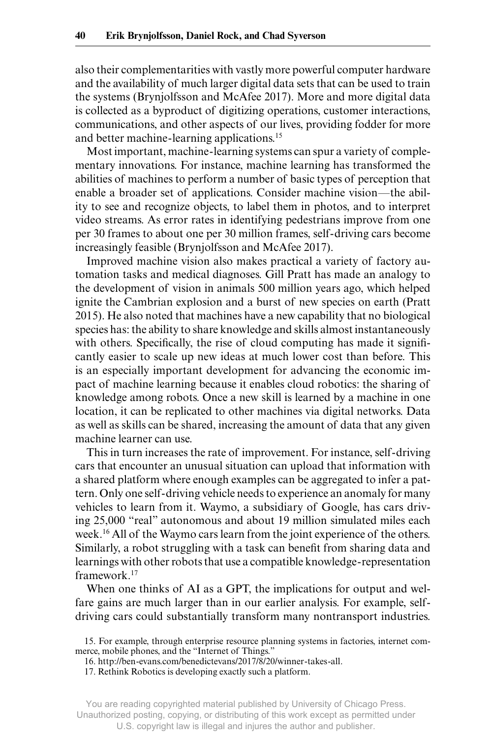also their complementarities with vastly more powerful computer hardware and the availability of much larger digital data sets that can be used to train the systems (Brynjolfsson and McAfee 2017). More and more digital data is collected as a byproduct of digitizing operations, customer interactions, communications, and other aspects of our lives, providing fodder for more and better machine-learning applications.<sup>15</sup>

Most important, machine- learning systems can spur a variety of complementary innovations. For instance, machine learning has transformed the abilities of machines to perform a number of basic types of perception that enable a broader set of applications. Consider machine vision—the ability to see and recognize objects, to label them in photos, and to interpret video streams. As error rates in identifying pedestrians improve from one per 30 frames to about one per 30 million frames, self- driving cars become increasingly feasible (Brynjolfsson and McAfee 2017).

Improved machine vision also makes practical a variety of factory automation tasks and medical diagnoses. Gill Pratt has made an analogy to the development of vision in animals 500 million years ago, which helped ignite the Cambrian explosion and a burst of new species on earth (Pratt 2015). He also noted that machines have a new capability that no biological species has: the ability to share knowledge and skills almost instantaneously with others. Specifically, the rise of cloud computing has made it significantly easier to scale up new ideas at much lower cost than before. This is an especially important development for advancing the economic impact of machine learning because it enables cloud robotics: the sharing of knowledge among robots. Once a new skill is learned by a machine in one location, it can be replicated to other machines via digital networks. Data as well as skills can be shared, increasing the amount of data that any given machine learner can use.

This in turn increases the rate of improvement. For instance, self- driving cars that encounter an unusual situation can upload that information with a shared platform where enough examples can be aggregated to infer a pattern. Only one self- driving vehicle needs to experience an anomaly for many vehicles to learn from it. Waymo, a subsidiary of Google, has cars driving 25,000 "real" autonomous and about 19 million simulated miles each week.<sup>16</sup> All of the Waymo cars learn from the joint experience of the others. Similarly, a robot struggling with a task can benefit from sharing data and learnings with other robots that use a compatible knowledge- representation framework.<sup>17</sup>

When one thinks of AI as a GPT, the implications for output and welfare gains are much larger than in our earlier analysis. For example, selfdriving cars could substantially transform many nontransport industries.

<sup>15.</sup> For example, through enterprise resource planning systems in factories, internet commerce, mobile phones, and the "Internet of Things."

<sup>16.</sup> http://ben-evans.com/benedictevans/2017/8/20/winner-takes-all.

<sup>17.</sup> Rethink Robotics is developing exactly such a platform.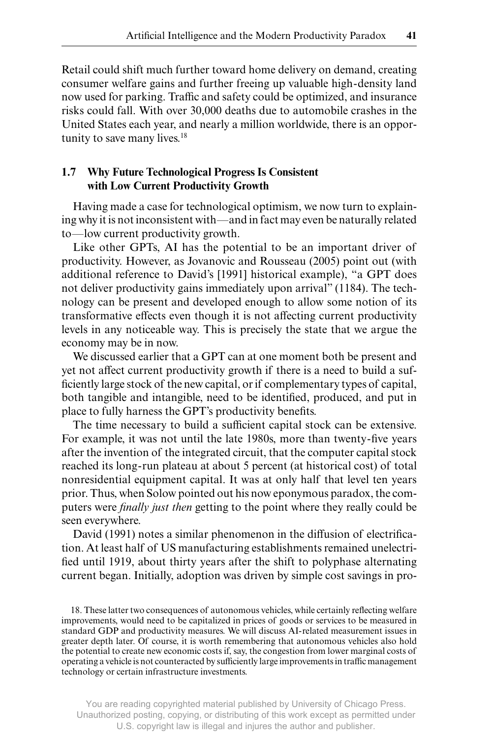Retail could shift much further toward home delivery on demand, creating consumer welfare gains and further freeing up valuable high- density land now used for parking. Traffic and safety could be optimized, and insurance risks could fall. With over 30,000 deaths due to automobile crashes in the United States each year, and nearly a million worldwide, there is an opportunity to save many lives.<sup>18</sup>

# **1.7 Why Future Technological Progress Is Consistent with Low Current Productivity Growth**

Having made a case for technological optimism, we now turn to explaining why it is not inconsistent with—and in fact may even be naturally related to—low current productivity growth.

Like other GPTs, AI has the potential to be an important driver of productivity. However, as Jovanovic and Rousseau (2005) point out (with additional reference to David's [1991] historical example), "a GPT does not deliver productivity gains immediately upon arrival" (1184). The technology can be present and developed enough to allow some notion of its transformative effects even though it is not affecting current productivity levels in any noticeable way. This is precisely the state that we argue the economy may be in now.

We discussed earlier that a GPT can at one moment both be present and yet not affect current productivity growth if there is a need to build a sufficiently large stock of the new capital, or if complementary types of capital, both tangible and intangible, need to be identified, produced, and put in place to fully harness the GPT's productivity benefits.

The time necessary to build a sufficient capital stock can be extensive. For example, it was not until the late 1980s, more than twenty-five years after the invention of the integrated circuit, that the computer capital stock reached its long-run plateau at about 5 percent (at historical cost) of total nonresidential equipment capital. It was at only half that level ten years prior. Thus, when Solow pointed out his now eponymous paradox, the computers were *finally just then* getting to the point where they really could be seen everywhere.

David (1991) notes a similar phenomenon in the diffusion of electrification. At least half of US manufacturing establishments remained unelectrified until 1919, about thirty years after the shift to polyphase alternating current began. Initially, adoption was driven by simple cost savings in pro-

18. These latter two consequences of autonomous vehicles, while certainly reflecting welfare improvements, would need to be capitalized in prices of goods or services to be measured in standard GDP and productivity measures. We will discuss AI- related measurement issues in greater depth later. Of course, it is worth remembering that autonomous vehicles also hold the potential to create new economic costs if, say, the congestion from lower marginal costs of operating a vehicle is not counteracted by sufficiently large improvements in traffic management technology or certain infrastructure investments.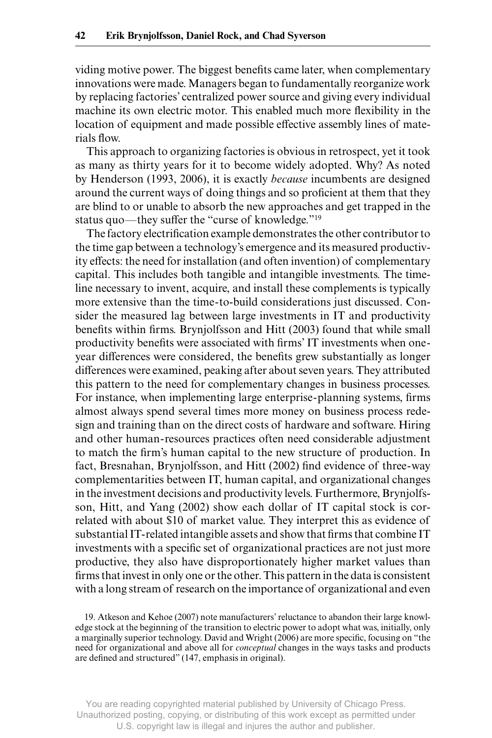viding motive power. The biggest benefits came later, when complementary innovations were made. Managers began to fundamentally reorganize work by replacing factories' centralized power source and giving every individual machine its own electric motor. This enabled much more flexibility in the location of equipment and made possible effective assembly lines of materials flow.

This approach to organizing factories is obvious in retrospect, yet it took as many as thirty years for it to become widely adopted. Why? As noted by Henderson (1993, 2006), it is exactly *because* incumbents are designed around the current ways of doing things and so proficient at them that they are blind to or unable to absorb the new approaches and get trapped in the status quo—they suffer the "curse of knowledge."<sup>19</sup>

The factory electrification example demonstrates the other contributor to the time gap between a technology's emergence and its measured productivity effects: the need for installation (and often invention) of complementary capital. This includes both tangible and intangible investments. The timeline necessary to invent, acquire, and install these complements is typically more extensive than the time- to-build considerations just discussed. Consider the measured lag between large investments in IT and productivity benefits within firms. Brynjolfsson and Hitt (2003) found that while small productivity benefits were associated with firms' IT investments when oneyear differences were considered, the benefits grew substantially as longer differences were examined, peaking after about seven years. They attributed this pattern to the need for complementary changes in business processes. For instance, when implementing large enterprise-planning systems, firms almost always spend several times more money on business process redesign and training than on the direct costs of hardware and software. Hiring and other human- resources practices often need considerable adjustment to match the firm's human capital to the new structure of production. In fact, Bresnahan, Brynjolfsson, and Hitt (2002) find evidence of three-way complementarities between IT, human capital, and organizational changes in the investment decisions and productivity levels. Furthermore, Brynjolfsson, Hitt, and Yang (2002) show each dollar of IT capital stock is correlated with about \$10 of market value. They interpret this as evidence of substantial IT-related intangible assets and show that firms that combine IT investments with a specific set of organizational practices are not just more productive, they also have disproportionately higher market values than firms that invest in only one or the other. This pattern in the data is consistent with a long stream of research on the importance of organizational and even

19. Atkeson and Kehoe (2007) note manufacturers' reluctance to abandon their large knowledge stock at the beginning of the transition to electric power to adopt what was, initially, only a marginally superior technology. David and Wright (2006) are more specific, focusing on "the need for organizational and above all for *conceptual* changes in the ways tasks and products are defined and structured" (147, emphasis in original).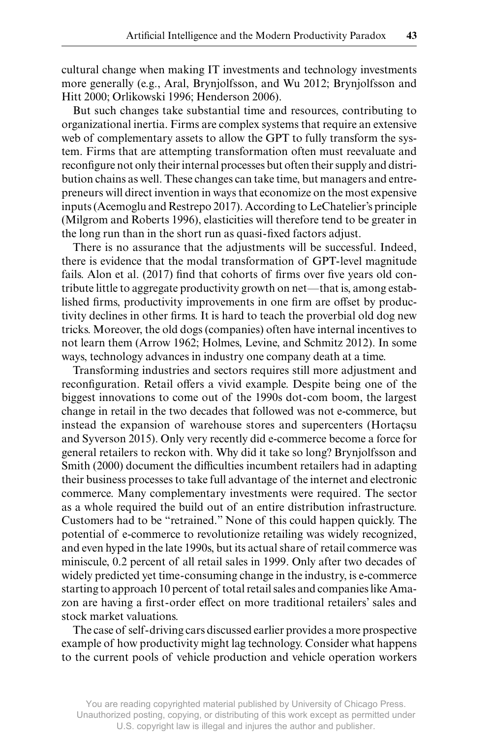cultural change when making IT investments and technology investments more generally (e.g., Aral, Brynjolfsson, and Wu 2012; Brynjolfsson and Hitt 2000; Orlikowski 1996; Henderson 2006).

But such changes take substantial time and resources, contributing to organizational inertia. Firms are complex systems that require an extensive web of complementary assets to allow the GPT to fully transform the system. Firms that are attempting transformation often must reevaluate and reconfigure not only their internal processes but often their supply and distribution chains as well. These changes can take time, but managers and entrepreneurs will direct invention in ways that economize on the most expensive inputs (Acemoglu and Restrepo 2017). According to LeChatelier's principle (Milgrom and Roberts 1996), elasticities will therefore tend to be greater in the long run than in the short run as quasi-fixed factors adjust.

There is no assurance that the adjustments will be successful. Indeed, there is evidence that the modal transformation of GPT- level magnitude fails. Alon et al. (2017) find that cohorts of firms over five years old contribute little to aggregate productivity growth on net—that is, among established firms, productivity improvements in one firm are offset by productivity declines in other firms. It is hard to teach the proverbial old dog new tricks. Moreover, the old dogs (companies) often have internal incentives to not learn them (Arrow 1962; Holmes, Levine, and Schmitz 2012). In some ways, technology advances in industry one company death at a time.

Transforming industries and sectors requires still more adjustment and reconfiguration. Retail offers a vivid example. Despite being one of the biggest innovations to come out of the 1990s dot- com boom, the largest change in retail in the two decades that followed was not e-commerce, but instead the expansion of warehouse stores and supercenters (Hortaçsu and Syverson 2015). Only very recently did e-commerce become a force for general retailers to reckon with. Why did it take so long? Brynjolfsson and Smith (2000) document the difficulties incumbent retailers had in adapting their business processes to take full advantage of the internet and electronic commerce. Many complementary investments were required. The sector as a whole required the build out of an entire distribution infrastructure. Customers had to be "retrained." None of this could happen quickly. The potential of e-commerce to revolutionize retailing was widely recognized, and even hyped in the late 1990s, but its actual share of retail commerce was miniscule, 0.2 percent of all retail sales in 1999. Only after two decades of widely predicted yet time-consuming change in the industry, is e-commerce starting to approach 10 percent of total retail sales and companies like Amazon are having a first-order effect on more traditional retailers' sales and stock market valuations.

The case of self- driving cars discussed earlier provides a more prospective example of how productivity might lag technology. Consider what happens to the current pools of vehicle production and vehicle operation workers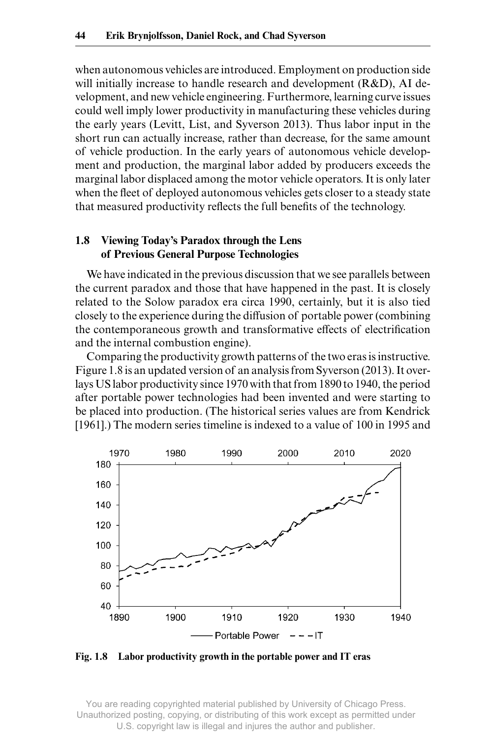when autonomous vehicles are introduced. Employment on production side will initially increase to handle research and development (R&D), AI development, and new vehicle engineering. Furthermore, learning curve issues could well imply lower productivity in manufacturing these vehicles during the early years (Levitt, List, and Syverson 2013). Thus labor input in the short run can actually increase, rather than decrease, for the same amount of vehicle production. In the early years of autonomous vehicle development and production, the marginal labor added by producers exceeds the marginal labor displaced among the motor vehicle operators. It is only later when the fleet of deployed autonomous vehicles gets closer to a steady state that measured productivity reflects the full benefits of the technology.

## **1.8 Viewing Today's Paradox through the Lens of Previous General Purpose Technologies**

We have indicated in the previous discussion that we see parallels between the current paradox and those that have happened in the past. It is closely related to the Solow paradox era circa 1990, certainly, but it is also tied closely to the experience during the diffusion of portable power (combining the contemporaneous growth and transformative effects of electrification and the internal combustion engine).

Comparing the productivity growth patterns of the two eras is instructive. Figure 1.8 is an updated version of an analysis from Syverson (2013). It overlays US labor productivity since 1970 with that from 1890 to 1940, the period after portable power technologies had been invented and were starting to be placed into production. (The historical series values are from Kendrick [1961].) The modern series timeline is indexed to a value of 100 in 1995 and



**Fig. 1.8 Labor productivity growth in the portable power and IT eras**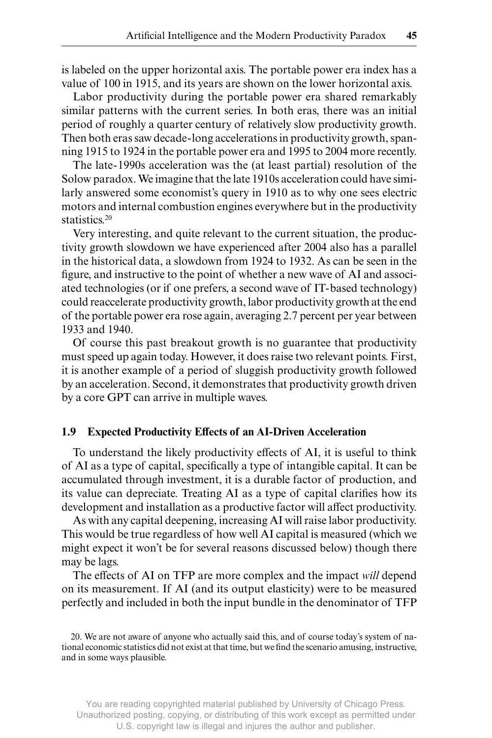is labeled on the upper horizontal axis. The portable power era index has a value of 100 in 1915, and its years are shown on the lower horizontal axis.

Labor productivity during the portable power era shared remarkably similar patterns with the current series. In both eras, there was an initial period of roughly a quarter century of relatively slow productivity growth. Then both eras saw decade- long accelerations in productivity growth, spanning 1915 to 1924 in the portable power era and 1995 to 2004 more recently.

The late- 1990s acceleration was the (at least partial) resolution of the Solow paradox. We imagine that the late 1910s acceleration could have similarly answered some economist's query in 1910 as to why one sees electric motors and internal combustion engines everywhere but in the productivity statistics.<sup>20</sup>

 Very interesting, and quite relevant to the current situation, the productivity growth slowdown we have experienced after 2004 also has a parallel in the historical data, a slowdown from 1924 to 1932. As can be seen in the figure, and instructive to the point of whether a new wave of AI and associ-ated technologies (or if one prefers, a second wave of IT- based technology) could reaccelerate productivity growth, labor productivity growth at the end of the portable power era rose again, averaging 2.7 percent per year between 1933 and 1940.

Of course this past breakout growth is no guarantee that productivity must speed up again today. However, it does raise two relevant points. First, it is another example of a period of sluggish productivity growth followed by an acceleration. Second, it demonstrates that productivity growth driven by a core GPT can arrive in multiple waves.

#### **1.9 Expected Productivity Effects of an AI-Driven Acceleration**

To understand the likely productivity effects of AI, it is useful to think of AI as a type of capital, specifically a type of intangible capital. It can be accumulated through investment, it is a durable factor of production, and its value can depreciate. Treating AI as a type of capital clarifies how its development and installation as a productive factor will affect productivity.

As with any capital deepening, increasing AI will raise labor productivity. This would be true regardless of how well AI capital is measured (which we might expect it won't be for several reasons discussed below) though there may be lags.

The effects of AI on TFP are more complex and the impact *will* depend on its measurement. If AI (and its output elasticity) were to be measured perfectly and included in both the input bundle in the denominator of TFP

<sup>20.</sup> We are not aware of anyone who actually said this, and of course today's system of national economic statistics did not exist at that time, but we find the scenario amusing, instructive, and in some ways plausible.

You are reading copyrighted material published by University of Chicago Press. Unauthorized posting, copying, or distributing of this work except as permitted under U.S. copyright law is illegal and injures the author and publisher.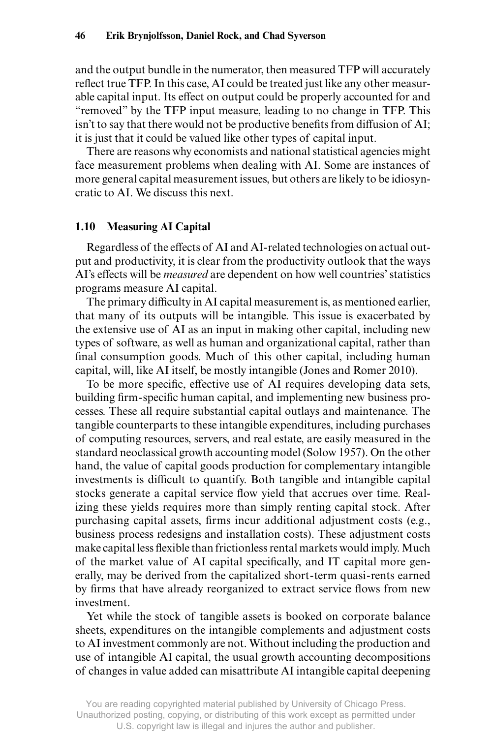and the output bundle in the numerator, then measured TFP will accurately reflect true TFP. In this case, AI could be treated just like any other measurable capital input. Its effect on output could be properly accounted for and "removed" by the TFP input measure, leading to no change in TFP. This isn't to say that there would not be productive benefits from diffusion of AI; it is just that it could be valued like other types of capital input.

There are reasons why economists and national statistical agencies might face measurement problems when dealing with AI. Some are instances of more general capital measurement issues, but others are likely to be idiosyncratic to AI. We discuss this next.

#### **1.10 Measuring AI Capital**

Regardless of the effects of AI and AI-related technologies on actual output and productivity, it is clear from the productivity outlook that the ways AI's effects will be *measured* are dependent on how well countries' statistics programs measure AI capital.

The primary difficulty in AI capital measurement is, as mentioned earlier, that many of its outputs will be intangible. This issue is exacerbated by the extensive use of AI as an input in making other capital, including new types of software, as well as human and organizational capital, rather than final consumption goods. Much of this other capital, including human capital, will, like AI itself, be mostly intangible (Jones and Romer 2010).

To be more specific, effective use of AI requires developing data sets, building firm-specific human capital, and implementing new business processes. These all require substantial capital outlays and maintenance. The tangible counterparts to these intangible expenditures, including purchases of computing resources, servers, and real estate, are easily measured in the standard neoclassical growth accounting model (Solow 1957). On the other hand, the value of capital goods production for complementary intangible investments is difficult to quantify. Both tangible and intangible capital stocks generate a capital service flow yield that accrues over time. Realizing these yields requires more than simply renting capital stock. After purchasing capital assets, firms incur additional adjustment costs (e.g., business process redesigns and installation costs). These adjustment costs make capital less flexible than frictionless rental markets would imply. Much of the market value of AI capital specifically, and IT capital more generally, may be derived from the capitalized short- term quasi- rents earned by firms that have already reorganized to extract service flows from new investment.

Yet while the stock of tangible assets is booked on corporate balance sheets, expenditures on the intangible complements and adjustment costs to AI investment commonly are not. Without including the production and use of intangible AI capital, the usual growth accounting decompositions of changes in value added can misattribute AI intangible capital deepening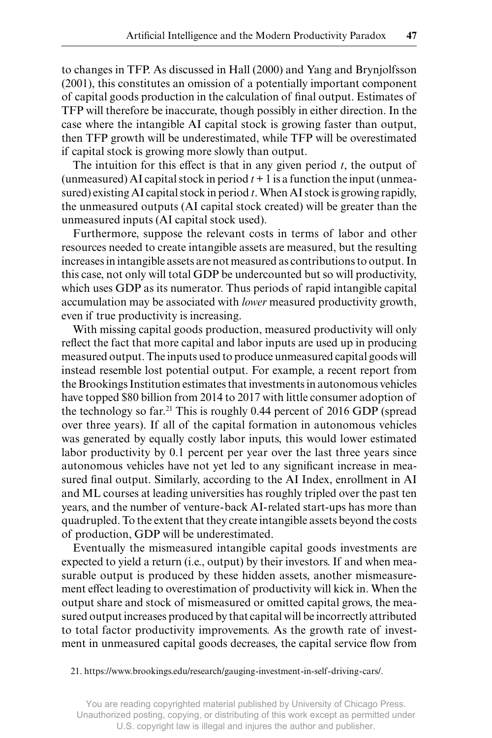to changes in TFP. As discussed in Hall (2000) and Yang and Brynjolfsson (2001), this constitutes an omission of a potentially important component of capital goods production in the calculation of final output. Estimates of TFP will therefore be inaccurate, though possibly in either direction. In the case where the intangible AI capital stock is growing faster than output, then TFP growth will be underestimated, while TFP will be overestimated if capital stock is growing more slowly than output.

The intuition for this effect is that in any given period  $t$ , the output of (unmeasured) AI capital stock in period  $t + 1$  is a function the input (unmeasured) existing AI capital stock in period *t*. When AI stock is growing rapidly, the unmeasured outputs (AI capital stock created) will be greater than the unmeasured inputs (AI capital stock used).

Furthermore, suppose the relevant costs in terms of labor and other resources needed to create intangible assets are measured, but the resulting increases in intangible assets are not measured as contributions to output. In this case, not only will total GDP be undercounted but so will productivity, which uses GDP as its numerator. Thus periods of rapid intangible capital accumulation may be associated with *lower* measured productivity growth, even if true productivity is increasing.

With missing capital goods production, measured productivity will only reflect the fact that more capital and labor inputs are used up in producing measured output. The inputs used to produce unmeasured capital goods will instead resemble lost potential output. For example, a recent report from the Brookings Institution estimates that investments in autonomous vehicles have topped \$80 billion from 2014 to 2017 with little consumer adoption of the technology so far.<sup>21</sup> This is roughly 0.44 percent of 2016 GDP (spread over three years). If all of the capital formation in autonomous vehicles was generated by equally costly labor inputs, this would lower estimated labor productivity by 0.1 percent per year over the last three years since autonomous vehicles have not yet led to any significant increase in measured final output. Similarly, according to the AI Index, enrollment in AI and ML courses at leading universities has roughly tripled over the past ten years, and the number of venture- back AI- related start-ups has more than quadrupled. To the extent that they create intangible assets beyond the costs of production, GDP will be underestimated.

Eventually the mismeasured intangible capital goods investments are expected to yield a return (i.e., output) by their investors. If and when measurable output is produced by these hidden assets, another mismeasurement effect leading to overestimation of productivity will kick in. When the output share and stock of mismeasured or omitted capital grows, the measured output increases produced by that capital will be incorrectly attributed to total factor productivity improvements. As the growth rate of investment in unmeasured capital goods decreases, the capital service flow from

21. https:// www .brookings .edu / research / gauging - investment - in-self- driving- cars/.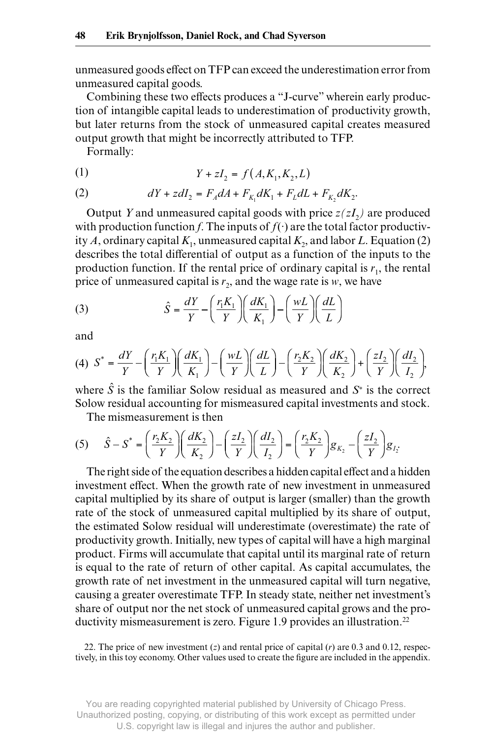unmeasured goods effect on TFP can exceed the underestimation error from unmeasured capital goods.

Combining these two effects produces a "J-curve" wherein early production of intangible capital leads to underestimation of productivity growth, but later returns from the stock of unmeasured capital creates measured output growth that might be incorrectly attributed to TFP.

Formally:

(1) 
$$
Y + zI_2 = f(A, K_1, K_2, L)
$$

(2) 
$$
dY + z dI_2 = F_A dA + F_{K_1} dK_1 + F_L dL + F_{K_2} dK_2
$$

Output *Y* and unmeasured capital goods with price  $z(zI_2)$  are produced with production function *f*. The inputs of  $f(\cdot)$  are the total factor productivity A, ordinary capital  $K_1$ , unmeasured capital  $K_2$ , and labor L. Equation (2) describes the total differential of output as a function of the inputs to the production function. If the rental price of ordinary capital is  $r_1$ , the rental price of unmeasured capital is  $r_2$ , and the wage rate is *w*, we have

.

(3) 
$$
\hat{S} = \frac{dY}{Y} - \left(\frac{r_1 K_1}{Y}\right) \left(\frac{dK_1}{K_1}\right) - \left(\frac{wL}{Y}\right) \left(\frac{dL}{L}\right)
$$

and

$$
(4) \ \ S^* = \frac{dY}{Y} - \left(\frac{r_1K_1}{Y}\right)\left(\frac{dK_1}{K_1}\right) - \left(\frac{wL}{Y}\right)\left(\frac{dL}{L}\right) - \left(\frac{r_2K_2}{Y}\right)\left(\frac{dK_2}{K_2}\right) + \left(\frac{zI_2}{Y}\right)\left(\frac{dI_2}{I_2}\right),
$$

where  $\hat{S}$  is the familiar Solow residual as measured and  $S^*$  is the correct Solow residual accounting for mismeasured capital investments and stock.

The mismeasurement is then

$$
(5) \qquad \hat{S} - S^* = \left(\frac{r_2 K_2}{Y}\right) \left(\frac{dK_2}{K_2}\right) - \left(\frac{zI_2}{Y}\right) \left(\frac{dI_2}{I_2}\right) = \left(\frac{r_2 K_2}{Y}\right) g_{K_2} - \left(\frac{zI_2}{Y}\right) g_{I_2}.
$$

The right side of the equation describes a hidden capital effect and a hidden investment effect. When the growth rate of new investment in unmeasured capital multiplied by its share of output is larger (smaller) than the growth rate of the stock of unmeasured capital multiplied by its share of output, the estimated Solow residual will underestimate (overestimate) the rate of productivity growth. Initially, new types of capital will have a high marginal product. Firms will accumulate that capital until its marginal rate of return is equal to the rate of return of other capital. As capital accumulates, the growth rate of net investment in the unmeasured capital will turn negative, causing a greater overestimate TFP. In steady state, neither net investment's share of output nor the net stock of unmeasured capital grows and the productivity mismeasurement is zero. Figure 1.9 provides an illustration.<sup>22</sup>

22. The price of new investment (*z*) and rental price of capital (*r*) are 0.3 and 0.12, respectively, in this toy economy. Other values used to create the figure are included in the appendix.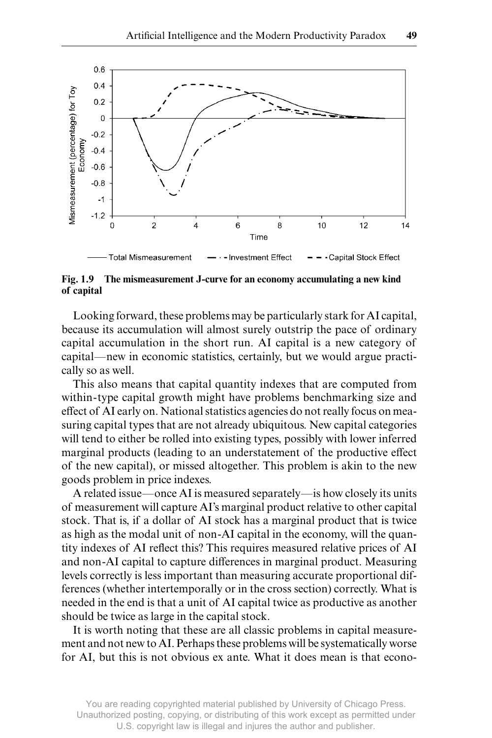

**Fig. 1.9 The mismeasurement J- curve for an economy accumulating a new kind of capital**

 Looking forward, these problems may be particularly stark for AI capital, because its accumulation will almost surely outstrip the pace of ordinary capital accumulation in the short run. AI capital is a new category of capital—new in economic statistics, certainly, but we would argue practically so as well.

This also means that capital quantity indexes that are computed from within-type capital growth might have problems benchmarking size and effect of AI early on. National statistics agencies do not really focus on measuring capital types that are not already ubiquitous. New capital categories will tend to either be rolled into existing types, possibly with lower inferred marginal products (leading to an understatement of the productive effect of the new capital), or missed altogether. This problem is akin to the new goods problem in price indexes.

A related issue—once AI is measured separately—is how closely its units of measurement will capture AI's marginal product relative to other capital stock. That is, if a dollar of AI stock has a marginal product that is twice as high as the modal unit of non- AI capital in the economy, will the quantity indexes of AI reflect this? This requires measured relative prices of AI and non-AI capital to capture differences in marginal product. Measuring levels correctly is less important than measuring accurate proportional differences (whether intertemporally or in the cross section) correctly. What is needed in the end is that a unit of AI capital twice as productive as another should be twice as large in the capital stock.

It is worth noting that these are all classic problems in capital measurement and not new to AI. Perhaps these problems will be systematically worse for AI, but this is not obvious ex ante. What it does mean is that econo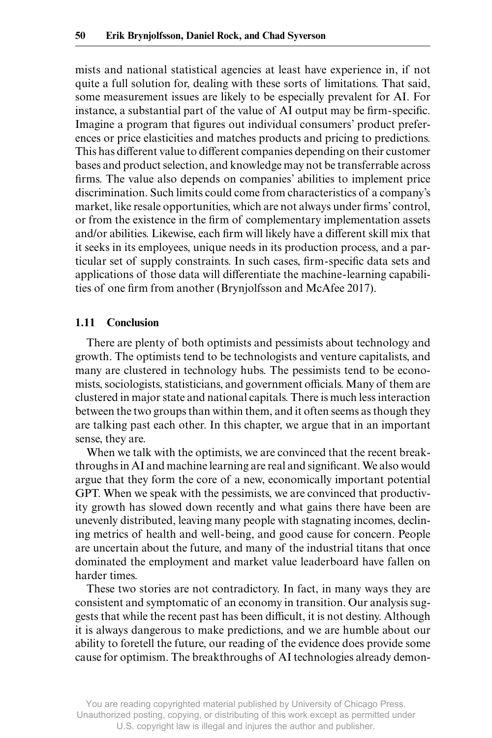mists and national statistical agencies at least have experience in, if not quite a full solution for, dealing with these sorts of limitations. That said, some measurement issues are likely to be especially prevalent for AI. For instance, a substantial part of the value of AI output may be firm-specific. Imagine a program that figures out individual consumers' product preferences or price elasticities and matches products and pricing to predictions. This has different value to different companies depending on their customer bases and product selection, and knowledge may not be transferrable across firms. The value also depends on companies' abilities to implement price discrimination. Such limits could come from characteristics of a company's market, like resale opportunities, which are not always under firms' control, or from the existence in the firm of complementary implementation assets and/or abilities. Likewise, each firm will likely have a different skill mix that it seeks in its employees, unique needs in its production process, and a particular set of supply constraints. In such cases, firm-specific data sets and applications of those data will differentiate the machine-learning capabilities of one firm from another (Brynjolfsson and McAfee 2017).

## **1.11 Conclusion**

There are plenty of both optimists and pessimists about technology and growth. The optimists tend to be technologists and venture capitalists, and many are clustered in technology hubs. The pessimists tend to be economists, sociologists, statisticians, and government officials. Many of them are clustered in major state and national capitals. There is much less interaction between the two groups than within them, and it often seems as though they are talking past each other. In this chapter, we argue that in an important sense, they are.

When we talk with the optimists, we are convinced that the recent breakthroughs in AI and machine learning are real and significant. We also would argue that they form the core of a new, economically important potential GPT. When we speak with the pessimists, we are convinced that productivity growth has slowed down recently and what gains there have been are unevenly distributed, leaving many people with stagnating incomes, declining metrics of health and well- being, and good cause for concern. People are uncertain about the future, and many of the industrial titans that once dominated the employment and market value leaderboard have fallen on harder times.

These two stories are not contradictory. In fact, in many ways they are consistent and symptomatic of an economy in transition. Our analysis suggests that while the recent past has been difficult, it is not destiny. Although it is always dangerous to make predictions, and we are humble about our ability to foretell the future, our reading of the evidence does provide some cause for optimism. The breakthroughs of AI technologies already demon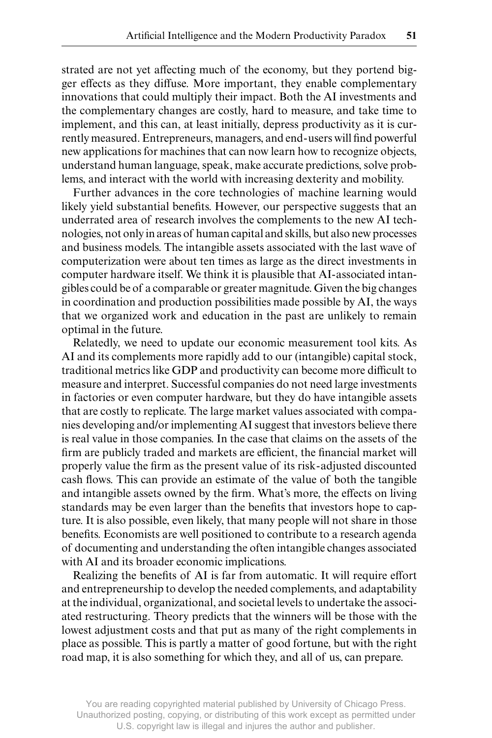strated are not yet affecting much of the economy, but they portend bigger effects as they diffuse. More important, they enable complementary innovations that could multiply their impact. Both the AI investments and the complementary changes are costly, hard to measure, and take time to implement, and this can, at least initially, depress productivity as it is currently measured. Entrepreneurs, managers, and end-users will find powerful new applications for machines that can now learn how to recognize objects, understand human language, speak, make accurate predictions, solve problems, and interact with the world with increasing dexterity and mobility.

Further advances in the core technologies of machine learning would likely yield substantial benefits. However, our perspective suggests that an underrated area of research involves the complements to the new AI technologies, not only in areas of human capital and skills, but also new processes and business models. The intangible assets associated with the last wave of computerization were about ten times as large as the direct investments in computer hardware itself. We think it is plausible that AI- associated intangibles could be of a comparable or greater magnitude. Given the big changes in coordination and production possibilities made possible by AI, the ways that we organized work and education in the past are unlikely to remain optimal in the future.

Relatedly, we need to update our economic measurement tool kits. As AI and its complements more rapidly add to our (intangible) capital stock, traditional metrics like GDP and productivity can become more difficult to measure and interpret. Successful companies do not need large investments in factories or even computer hardware, but they do have intangible assets that are costly to replicate. The large market values associated with companies developing and/or implementing AI suggest that investors believe there is real value in those companies. In the case that claims on the assets of the firm are publicly traded and markets are efficient, the financial market will properly value the firm as the present value of its risk-adjusted discounted cash flows. This can provide an estimate of the value of both the tangible and intangible assets owned by the firm. What's more, the effects on living standards may be even larger than the benefits that investors hope to capture. It is also possible, even likely, that many people will not share in those benefits. Economists are well positioned to contribute to a research agenda of documenting and understanding the often intangible changes associated with AI and its broader economic implications.

Realizing the benefits of AI is far from automatic. It will require effort and entrepreneurship to develop the needed complements, and adaptability at the individual, organizational, and societal levels to undertake the associated restructuring. Theory predicts that the winners will be those with the lowest adjustment costs and that put as many of the right complements in place as possible. This is partly a matter of good fortune, but with the right road map, it is also something for which they, and all of us, can prepare.

You are reading copyrighted material published by University of Chicago Press. Unauthorized posting, copying, or distributing of this work except as permitted under U.S. copyright law is illegal and injures the author and publisher.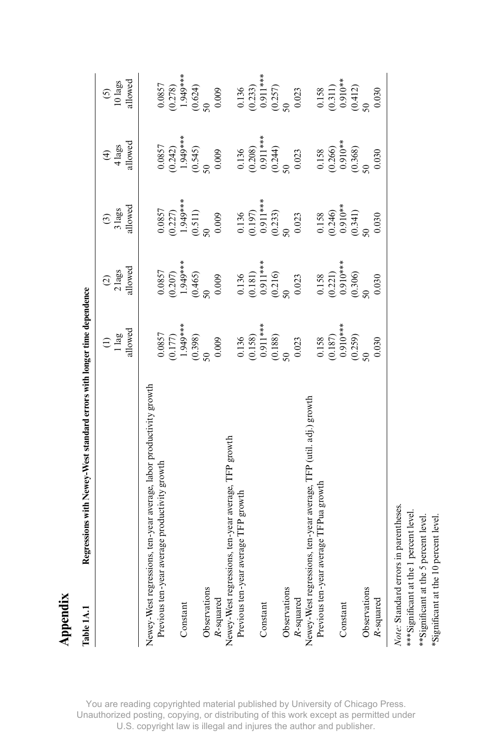| Table 1A.1                            | Regressions with Newey-West standard errors with longer time dependence                                              |                                                                                        |                                                                                       |                                                                                        |                                                                                         |                                                                                                  |
|---------------------------------------|----------------------------------------------------------------------------------------------------------------------|----------------------------------------------------------------------------------------|---------------------------------------------------------------------------------------|----------------------------------------------------------------------------------------|-----------------------------------------------------------------------------------------|--------------------------------------------------------------------------------------------------|
|                                       |                                                                                                                      | $\frac{1}{1}$ lag<br>allowed                                                           | $\frac{2 \text{ lags}}{2 \text{ lags}}$                                               | $\frac{3 \text{ lags}}{3 \text{ lags}}$                                                | $(4)$<br>4 lags<br>allowed                                                              | $\begin{array}{c}\n(5) \\ 10 \text{ lags} \\ \text{allowed}\n\end{array}$                        |
|                                       | Newey-West regressions, ten-year average, labor productivity growth<br>Previous ten-year average productivity growth |                                                                                        |                                                                                       |                                                                                        |                                                                                         |                                                                                                  |
| Constant                              |                                                                                                                      | $\begin{array}{c} 0.0857 \\ (0.177) \\ 1.949*** \\ (0.398) \\ 50 \\ 0.009 \end{array}$ | $0.0857$<br>$(0.207)$<br>$1.949***$<br>$(0.465)$<br>$50$<br>0.009                     | $\begin{array}{c} 0.0857 \\ (0.227) \\ 1.949*** \\ (0.511) \\ 50 \\ 0.009 \end{array}$ | $0.0857$<br>$(0.242)$<br>$1.949***$<br>$(0.545)$<br>$50$<br>0.009                       | $0.0857$<br>$(0.278)$<br>$1.949***$<br>$(0.624)$<br>$50$<br>$0.009$                              |
|                                       |                                                                                                                      |                                                                                        |                                                                                       |                                                                                        |                                                                                         |                                                                                                  |
| Observations                          |                                                                                                                      |                                                                                        |                                                                                       |                                                                                        |                                                                                         |                                                                                                  |
| R-squared                             |                                                                                                                      |                                                                                        |                                                                                       |                                                                                        |                                                                                         |                                                                                                  |
|                                       | Newey-West regressions, ten-year average, TFP growth                                                                 |                                                                                        |                                                                                       |                                                                                        |                                                                                         |                                                                                                  |
|                                       | Previous ten-year average TFP growth                                                                                 |                                                                                        |                                                                                       |                                                                                        |                                                                                         |                                                                                                  |
|                                       |                                                                                                                      |                                                                                        |                                                                                       |                                                                                        |                                                                                         |                                                                                                  |
| Constant                              |                                                                                                                      |                                                                                        |                                                                                       |                                                                                        |                                                                                         |                                                                                                  |
|                                       |                                                                                                                      |                                                                                        |                                                                                       |                                                                                        |                                                                                         |                                                                                                  |
| Observations                          |                                                                                                                      |                                                                                        |                                                                                       |                                                                                        |                                                                                         |                                                                                                  |
| R-squared                             |                                                                                                                      | $\begin{array}{c} 0.136 \\ (0.158) \\ 0.911*** \\ (0.188) \\ 50 \\ 0.023 \end{array}$  | $\begin{array}{c} 0.136 \\ (0.181) \\ 0.911*** \\ (0.216) \\ 50 \\ 0.023 \end{array}$ | $\begin{array}{c} 0.136 \\ (0.197) \\ 0.911*** \\ (0.233) \\ 50 \\ 0.023 \end{array}$  | $\begin{array}{c} 0.136 \\ (0.208) \\ 0.911*** \\ (0.244) \\ 50 \\ 0.023 \end{array}$   | $\begin{array}{c} 0.136 \\ (0.233) \\ 0.911*** \\ (0.257) \\ (0.257) \\ 50 \\ 0.023 \end{array}$ |
|                                       | Newey-West regressions, ten-year average, TFP (util. adj.) growth                                                    |                                                                                        |                                                                                       |                                                                                        |                                                                                         |                                                                                                  |
|                                       | Previous ten-year average TFPua growth                                                                               |                                                                                        |                                                                                       |                                                                                        |                                                                                         |                                                                                                  |
|                                       |                                                                                                                      |                                                                                        |                                                                                       |                                                                                        |                                                                                         |                                                                                                  |
| Constant                              |                                                                                                                      |                                                                                        |                                                                                       |                                                                                        |                                                                                         |                                                                                                  |
|                                       |                                                                                                                      | $\begin{array}{c} 0.158 \\ (0.187) \\ 0.910*** \\ (0.259) \\ 50 \end{array}$           | $\begin{array}{c} 0.158 \\ (0.221) \\ 0.910*** \\ (0.306) \\ 50 \end{array}$          | $\begin{array}{c} 0.158 \\ (0.246) \\ 0.910^{**} \\ (0.341) \\ 50 \end{array}$         | $\begin{array}{l} 0.158 \\ (0.266) \\ 0.910^{**} \\ (0.368) \\ 50 \\ 0.030 \end{array}$ | $\begin{array}{c} 0.158 \\ (0.311) \\ 0.910^{**} \\ (0.412) \\ 50 \\ 0.030 \end{array}$          |
| Observations                          |                                                                                                                      |                                                                                        |                                                                                       |                                                                                        |                                                                                         |                                                                                                  |
| R-squared                             |                                                                                                                      | 0.030                                                                                  | 0.030                                                                                 | 0.030                                                                                  |                                                                                         |                                                                                                  |
| Note: Standard errors in parentheses. |                                                                                                                      |                                                                                        |                                                                                       |                                                                                        |                                                                                         |                                                                                                  |

You are reading copyrighted material published by University of Chicago Press. Unauthorized posting, copying, or distributing of this work except as permitted under U.S. copyright law is illegal and injures the author and publisher.

\*\*\*Significant at the 1 percent level. \*\*Signifi cant at the 5 percent level. \*Signifi cant at the 10 percent level.

\*\*\*Significant at the 1 percent level.<br>\*\*Significant at the 5 percent level.<br>\*Significant at the 10 percent level.

**Appendix**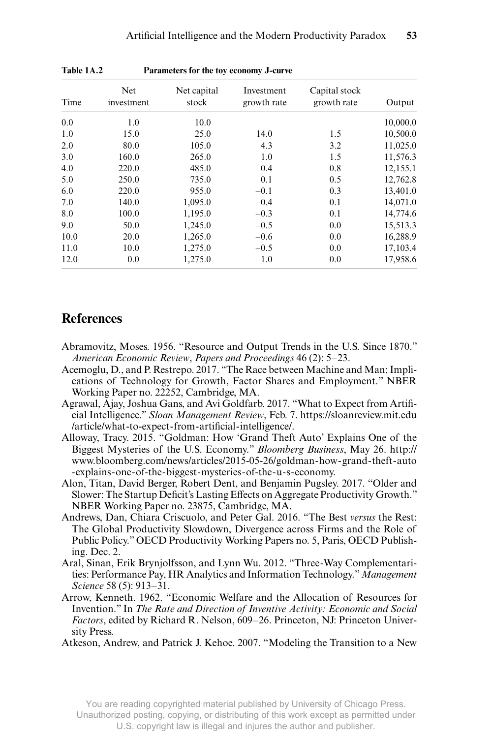|      |                   | I arameters for the toy economy of car re- |                           |                              |          |
|------|-------------------|--------------------------------------------|---------------------------|------------------------------|----------|
| Time | Net<br>investment | Net capital<br>stock                       | Investment<br>growth rate | Capital stock<br>growth rate | Output   |
| 0.0  | 1.0               | 10.0                                       |                           |                              | 10,000.0 |
| 1.0  | 15.0              | 25.0                                       | 14.0                      | 1.5                          | 10,500.0 |
| 2.0  | 80.0              | 105.0                                      | 4.3                       | 3.2                          | 11,025.0 |
| 3.0  | 160.0             | 265.0                                      | 1.0                       | 1.5                          | 11,576.3 |
| 4.0  | 220.0             | 485.0                                      | 0.4                       | 0.8                          | 12,155.1 |
| 5.0  | 250.0             | 735.0                                      | 0.1                       | 0.5                          | 12,762.8 |
| 6.0  | 220.0             | 955.0                                      | $-0.1$                    | 0.3                          | 13.401.0 |
| 7.0  | 140.0             | 1,095.0                                    | $-0.4$                    | 0.1                          | 14,071.0 |
| 8.0  | 100.0             | 1,195.0                                    | $-0.3$                    | 0.1                          | 14,774.6 |
| 9.0  | 50.0              | 1,245.0                                    | $-0.5$                    | 0.0                          | 15,513.3 |
| 10.0 | 20.0              | 1,265.0                                    | $-0.6$                    | 0.0                          | 16,288.9 |
| 11.0 | 10.0              | 1,275.0                                    | $-0.5$                    | 0.0                          | 17,103.4 |
| 12.0 | 0.0               | 1,275.0                                    | $-1.0$                    | 0.0                          | 17,958.6 |

Table 1 A.2 **Parameters for the toy economy J-curve** 

# **References**

- Abramovitz, Moses. 1956. "Resource and Output Trends in the U.S. Since 1870." *American Economic Review*, *Papers and Proceedings* 46 (2): 5– 23.
- Acemoglu, D., and P. Restrepo. 2017. "The Race between Machine and Man: Implications of Technology for Growth, Factor Shares and Employment." NBER Working Paper no. 22252, Cambridge, MA.
- Agrawal, Ajay, Joshua Gans, and Avi Goldfarb. 2017. "What to Expect from Artifi cial Intelligence." *Sloan Management Review*, Feb. 7. https:// sloanreview .mit .edu /article/what-to-expect-from-artificial-intelligence/.
- Alloway, Tracy. 2015. "Goldman: How 'Grand Theft Auto' Explains One of the Biggest Mysteries of the U.S. Economy." *Bloomberg Business*, May 26. http:// www.bloomberg.com/news/articles/2015-05-26/goldman-how-grand-theft-auto - explains-one-of-the-biggest-mysteries-of-the-u-s-economy.
- Alon, Titan, David Berger, Robert Dent, and Benjamin Pugsley. 2017. "Older and Slower: The Startup Deficit's Lasting Effects on Aggregate Productivity Growth." NBER Working Paper no. 23875, Cambridge, MA.
- Andrews, Dan, Chiara Criscuolo, and Peter Gal. 2016. "The Best *versus* the Rest: The Global Productivity Slowdown, Divergence across Firms and the Role of Public Policy." OECD Productivity Working Papers no. 5, Paris, OECD Publishing. Dec. 2.
- Aral, Sinan, Erik Brynjolfsson, and Lynn Wu. 2012. "Three- Way Complementarities: Performance Pay, HR Analytics and Information Technology." *Management Science* 58 (5): 913-31.
- Arrow, Kenneth. 1962. "Economic Welfare and the Allocation of Resources for Invention." In *The Rate and Direction of Inventive Activity: Economic and Social Factors*, edited by Richard R. Nelson, 609–26. Princeton, NJ: Princeton University Press.

Atkeson, Andrew, and Patrick J. Kehoe. 2007. "Modeling the Transition to a New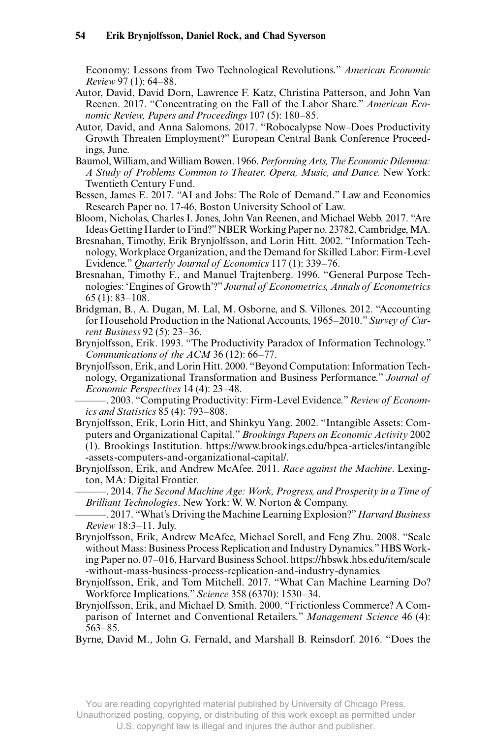Economy: Lessons from Two Technological Revolutions." *American Economic Review* 97 (1): 64– 88.

- Autor, David, David Dorn, Lawrence F. Katz, Christina Patterson, and John Van Reenen. 2017. "Concentrating on the Fall of the Labor Share." *American Economic Review, Papers and Proceedings* 107 (5): 180–85.
- Autor, David, and Anna Salomons. 2017. "Robocalypse Now–Does Productivity Growth Threaten Employment?" European Central Bank Conference Proceedings, June.
- Baumol, William, and William Bowen. 1966. *Performing Arts, The Economic Dilemma: A Study of Problems Common to Theater, Opera, Music, and Dance.* New York: Twentieth Century Fund.
- Bessen, James E. 2017. "AI and Jobs: The Role of Demand." Law and Economics Research Paper no. 17-46, Boston University School of Law.
- Bloom, Nicholas, Charles I. Jones, John Van Reenen, and Michael Webb. 2017. "Are Ideas Getting Harder to Find?" NBER Working Paper no. 23782, Cambridge, MA.
- Bresnahan, Timothy, Erik Brynjolfsson, and Lorin Hitt. 2002. "Information Technology, Workplace Organization, and the Demand for Skilled Labor: Firm- Level Evidence." Quarterly Journal of Economics 117 (1): 339-76.
- Bresnahan, Timothy F., and Manuel Trajtenberg. 1996. "General Purpose Technologies: 'Engines of Growth'?" *Journal of Econometrics, Annals of Econometrics*  $65$  (1): 83-108.
- Bridgman, B., A. Dugan, M. Lal, M. Osborne, and S. Villones. 2012. "Accounting for Household Production in the National Accounts, 1965– 2010." *Survey of Current Business* 92 (5): 23– 36.
- Brynjolfsson, Erik. 1993. "The Productivity Paradox of Information Technology." *Communications of the ACM* 36 (12): 66-77.
- Brynjolfsson, Erik, and Lorin Hitt. 2000. "Beyond Computation: Information Technology, Organizational Transformation and Business Performance." *Journal of Economic Perspectives* 14 (4): 23-48.
- ———. 2003. "Computing Productivity: Firm- Level Evidence." *Review of Economics and Statistics* 85 (4): 793– 808.
- Brynjolfsson, Erik, Lorin Hitt, and Shinkyu Yang. 2002. "Intangible Assets: Computers and Organizational Capital." *Brookings Papers on Economic Activity* 2002 (1). Brookings Institution. https:// www .brookings .edu / bpea - articles / intangible -assets-computers-and-organizational-capital/.
- Brynjolfsson, Erik, and Andrew McAfee. 2011. *Race against the Machine*. Lexington, MA: Digital Frontier.
- ———. 2014. *The Second Machine Age: Work, Progress, and Prosperity in a Time of Brilliant Technologies*. New York: W. W. Norton & Company.
- ———. 2017. "What's Driving the Machine Learning Explosion?" *Harvard Business Review* 18:3– 11. July.
- Brynjolfsson, Erik, Andrew McAfee, Michael Sorell, and Feng Zhu. 2008. "Scale without Mass: Business Process Replication and Industry Dynamics." HBS Working Paper no. 07– 016, Harvard Business School. https:// hbswk .hbs .edu / item / scale -without-mass-business-process-replication-and-industry-dynamics.
- Brynjolfsson, Erik, and Tom Mitchell. 2017. "What Can Machine Learning Do? Workforce Implications." *Science* 358 (6370): 1530– 34.
- Brynjolfsson, Erik, and Michael D. Smith. 2000. "Frictionless Commerce? A Comparison of Internet and Conventional Retailers." *Management Science* 46 (4): 563– 85.
- Byrne, David M., John G. Fernald, and Marshall B. Reinsdorf. 2016. "Does the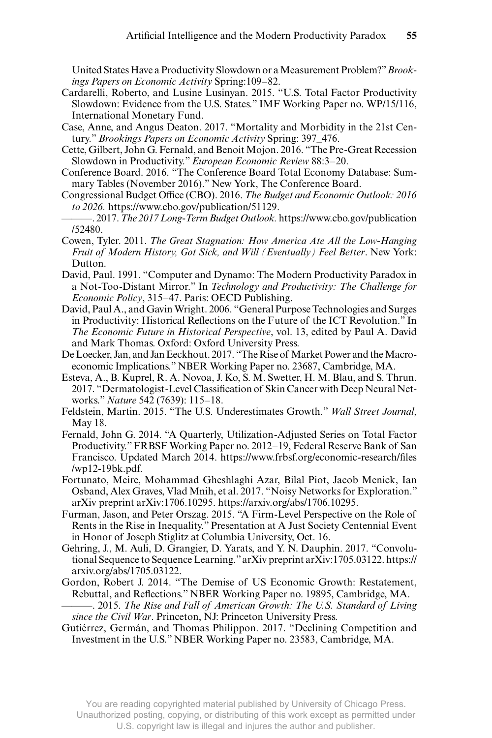United States Have a Productivity Slowdown or a Measurement Problem?" *Brookings Papers on Economic Activity* Spring: 109–82.

- Cardarelli, Roberto, and Lusine Lusinyan. 2015. "U.S. Total Factor Productivity Slowdown: Evidence from the U.S. States." IMF Working Paper no. WP/15/116, International Monetary Fund.
- Case, Anne, and Angus Deaton. 2017. "Mortality and Morbidity in the 21st Century." *Brookings Papers on Economic Activity* Spring: 397\_476.
- Cette, Gilbert, John G. Fernald, and Benoit Mojon. 2016. "The Pre- Great Recession Slowdown in Productivity." *European Economic Review* 88:3-20.
- Conference Board. 2016. "The Conference Board Total Economy Database: Summary Tables (November 2016)." New York, The Conference Board.
- Congressional Budget Office (CBO). 2016. *The Budget and Economic Outlook: 2016 to 2026.* https://www.cbo.gov/publication/51129.
- ———. 2017. *The 2017 Long- Term Budget Outlook.* https:// www .cbo .gov / publication / 52480.
- Cowen, Tyler. 2011. *The Great Stagnation: How America Ate All the Low- Hanging Fruit of Modern History, Got Sick, and Will (Eventually) Feel Better*. New York: Dutton.
- David, Paul. 1991. "Computer and Dynamo: The Modern Productivity Paradox in a Not- Too- Distant Mirror." In *Technology and Productivity: The Challenge for Economic Policy*, 315–47. Paris: OECD Publishing.
- David, Paul A., and Gavin Wright. 2006. "General Purpose Technologies and Surges in Productivity: Historical Reflections on the Future of the ICT Revolution." In *The Economic Future in Historical Perspective*, vol. 13, edited by Paul A. David and Mark Thomas. Oxford: Oxford University Press.
- De Loecker, Jan, and Jan Eeckhout. 2017. "The Rise of Market Power and the Macroeconomic Implications." NBER Working Paper no. 23687, Cambridge, MA.
- Esteva, A., B. Kuprel, R. A. Novoa, J. Ko, S. M. Swetter, H. M. Blau, and S. Thrun. 2017. "Dermatologist-Level Classification of Skin Cancer with Deep Neural Networks." *Nature* 542 (7639): 115– 18.
- Feldstein, Martin. 2015. "The U.S. Underestimates Growth." *Wall Street Journal*, May 18.
- Fernald, John G. 2014. "A Quarterly, Utilization- Adjusted Series on Total Factor Productivity." FRBSF Working Paper no. 2012– 19, Federal Reserve Bank of San Francisco. Updated March 2014. https://www.frbsf.org/economic-research/files /wp12-19bk.pdf.
- Fortunato, Meire, Mohammad Gheshlaghi Azar, Bilal Piot, Jacob Menick, Ian Osband, Alex Graves, Vlad Mnih, et al. 2017. "Noisy Networks for Exploration." arXiv preprint arXiv:1706.10295. https://arxiv.org/abs/1706.10295.
- Furman, Jason, and Peter Orszag. 2015. "A Firm- Level Perspective on the Role of Rents in the Rise in Inequality." Presentation at A Just Society Centennial Event in Honor of Joseph Stiglitz at Columbia University, Oct. 16.
- Gehring, J., M. Auli, D. Grangier, D. Yarats, and Y. N. Dauphin. 2017. "Convolutional Sequence to Sequence Learning." arXiv preprint arXiv:1705.03122. https:// arxiv.org/abs/1705.03122.
- Gordon, Robert J. 2014. "The Demise of US Economic Growth: Restatement, Rebuttal, and Reflections." NBER Working Paper no. 19895, Cambridge, MA.

———. 2015. *The Rise and Fall of American Growth: The U.S. Standard of Living since the Civil War*. Princeton, NJ: Princeton University Press.

Gutiérrez, Germán, and Thomas Philippon. 2017. "Declining Competition and Investment in the U.S." NBER Working Paper no. 23583, Cambridge, MA.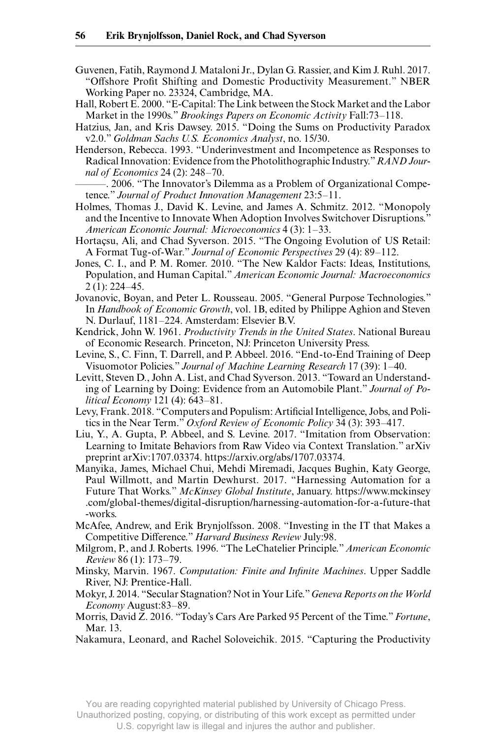- Guvenen, Fatih, Raymond J. Mataloni Jr., Dylan G. Rassier, and Kim J. Ruhl. 2017. "Offshore Profit Shifting and Domestic Productivity Measurement." NBER Working Paper no. 23324, Cambridge, MA.
- Hall, Robert E. 2000. "E-Capital: The Link between the Stock Market and the Labor Market in the 1990s." *Brookings Papers on Economic Activity* Fall:73–118.
- Hatzius, Jan, and Kris Dawsey. 2015. "Doing the Sums on Productivity Paradox v2.0." Goldman Sachs U.S. Economics Analyst, no. 15/30.
- Henderson, Rebecca. 1993. "Underinvestment and Incompetence as Responses to Radical Innovation: Evidence from the Photolithographic Industry." *RAND Journal of Economics* 24 (2): 248– 70.
- ———. 2006. "The Innovator's Dilemma as a Problem of Organizational Competence." *Journal of Product Innovation Management* 23:5-11.
- Holmes, Thomas J., David K. Levine, and James A. Schmitz. 2012. "Monopoly and the Incentive to Innovate When Adoption Involves Switchover Disruptions." *American Economic Journal: Microeconomics* 4 (3): 1– 33.
- Hortaçsu, Ali, and Chad Syverson. 2015. "The Ongoing Evolution of US Retail: A Format Tug- of-War." *Journal of Economic Perspectives* 29 (4): 89– 112.
- Jones, C. I., and P. M. Romer. 2010. "The New Kaldor Facts: Ideas, Institutions, Population, and Human Capital." *American Economic Journal: Macroeconomics*  $2(1)$ : 224-45.
- Jovanovic, Boyan, and Peter L. Rousseau. 2005. "General Purpose Technologies." In *Handbook of Economic Growth*, vol. 1B, edited by Philippe Aghion and Steven N. Durlauf, 1181–224. Amsterdam: Elsevier B.V.
- Kendrick, John W. 1961. *Productivity Trends in the United States*. National Bureau of Economic Research. Princeton, NJ: Princeton University Press.
- Levine, S., C. Finn, T. Darrell, and P. Abbeel. 2016. "End- to-End Training of Deep Visuomotor Policies." *Journal of Machine Learning Research* 17 (39): 1–40.
- Levitt, Steven D., John A. List, and Chad Syverson. 2013. "Toward an Understanding of Learning by Doing: Evidence from an Automobile Plant." *Journal of Political Economy* 121 (4): 643-81.
- Levy, Frank. 2018. "Computers and Populism: Artificial Intelligence, Jobs, and Politics in the Near Term." *Oxford Review of Economic Policy* 34 (3): 393–417.
- Liu, Y., A. Gupta, P. Abbeel, and S. Levine. 2017. "Imitation from Observation: Learning to Imitate Behaviors from Raw Video via Context Translation." arXiv preprint arXiv:1707.03374. https://arxiv.org/abs/1707.03374.
- Manyika, James, Michael Chui, Mehdi Miremadi, Jacques Bughin, Katy George, Paul Willmott, and Martin Dewhurst. 2017. "Harnessing Automation for a Future That Works." *McKinsey Global Institute*, January. https:// www .mckinsey .com / global - themes / digital - disruption / harnessing - automation - for - a - future - that -works.
- McAfee, Andrew, and Erik Brynjolfsson. 2008. "Investing in the IT that Makes a Competitive Difference." Harvard Business Review July:98.
- Milgrom, P., and J. Roberts. 1996. "The LeChatelier Principle." *American Economic Review* 86 (1): 173– 79.
- Minsky, Marvin. 1967. *Computation: Finite and Infinite Machines*. Upper Saddle River, NJ: Prentice-Hall.
- Mokyr, J. 2014. "Secular Stagnation? Not in Your Life." *Geneva Reports on the World Economy* August:83-89.
- Morris, David Z. 2016. "Today's Cars Are Parked 95 Percent of the Time." *Fortune*, Mar. 13.
- Nakamura, Leonard, and Rachel Soloveichik. 2015. "Capturing the Productivity